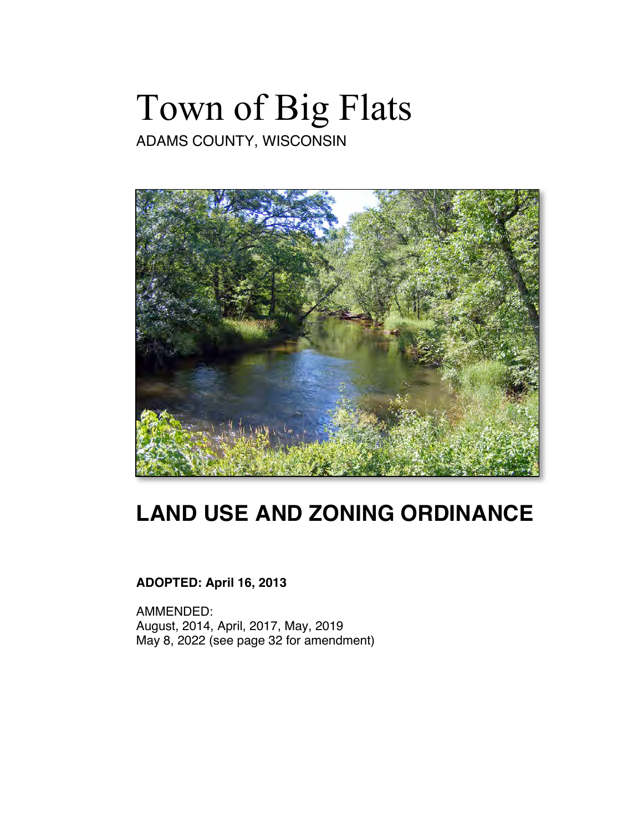# Town of Big Flats

ADAMS COUNTY, WISCONSIN



## **LAND USE AND ZONING ORDINANCE**

## **ADOPTED: April 16, 2013**

AMMENDED: August, 2014, April, 2017, May, 2019 May 8, 2022 (see page 32 for amendment)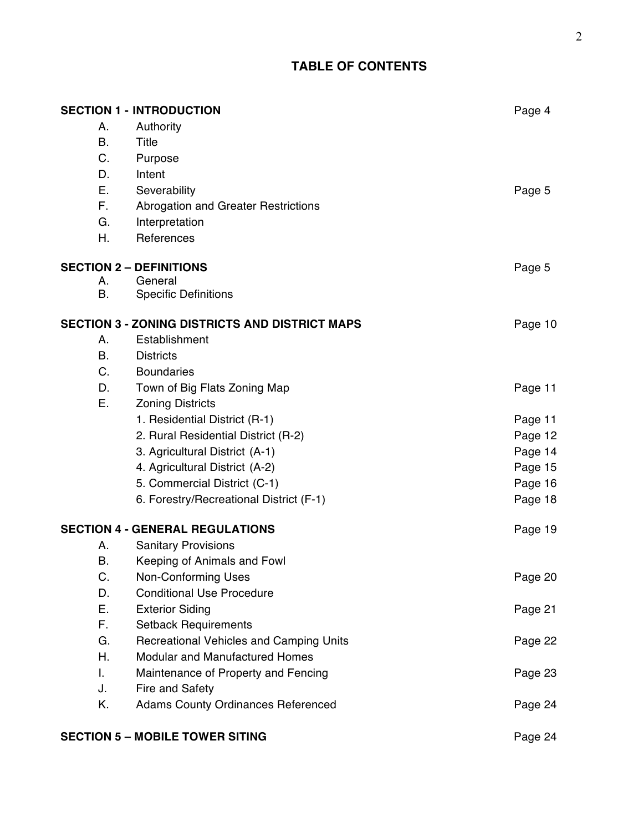## **TABLE OF CONTENTS**

|           | <b>SECTION 1 - INTRODUCTION</b>                       | Page 4  |
|-----------|-------------------------------------------------------|---------|
| А.        | Authority                                             |         |
| <b>B.</b> | <b>Title</b>                                          |         |
| C.        | Purpose                                               |         |
| D.        | Intent                                                |         |
| Е.        | Severability                                          | Page 5  |
| F.        | Abrogation and Greater Restrictions                   |         |
| G.        | Interpretation                                        |         |
| Η.        | References                                            |         |
|           | <b>SECTION 2 - DEFINITIONS</b>                        | Page 5  |
| А.        | General                                               |         |
| В.        | <b>Specific Definitions</b>                           |         |
|           | <b>SECTION 3 - ZONING DISTRICTS AND DISTRICT MAPS</b> | Page 10 |
| Α.        | Establishment                                         |         |
| <b>B.</b> | <b>Districts</b>                                      |         |
| C.        | <b>Boundaries</b>                                     |         |
| D.        | Town of Big Flats Zoning Map                          | Page 11 |
| Ε.        | <b>Zoning Districts</b>                               |         |
|           | 1. Residential District (R-1)                         | Page 11 |
|           | 2. Rural Residential District (R-2)                   | Page 12 |
|           | 3. Agricultural District (A-1)                        | Page 14 |
|           | 4. Agricultural District (A-2)                        | Page 15 |
|           | 5. Commercial District (C-1)                          | Page 16 |
|           | 6. Forestry/Recreational District (F-1)               | Page 18 |
|           | <b>SECTION 4 - GENERAL REGULATIONS</b>                | Page 19 |
| А.        | <b>Sanitary Provisions</b>                            |         |
| Β.        | Keeping of Animals and Fowl                           |         |
| C.        | <b>Non-Conforming Uses</b>                            | Page 20 |
| D.        | <b>Conditional Use Procedure</b>                      |         |
| Ε.        | <b>Exterior Siding</b>                                | Page 21 |
| F.        | <b>Setback Requirements</b>                           |         |
| G.        | Recreational Vehicles and Camping Units               | Page 22 |
| Η.        | <b>Modular and Manufactured Homes</b>                 |         |
| L.        | Maintenance of Property and Fencing                   | Page 23 |
| J.        | Fire and Safety                                       |         |
| Κ.        | <b>Adams County Ordinances Referenced</b>             | Page 24 |
|           | <b>SECTION 5 - MOBILE TOWER SITING</b>                | Page 24 |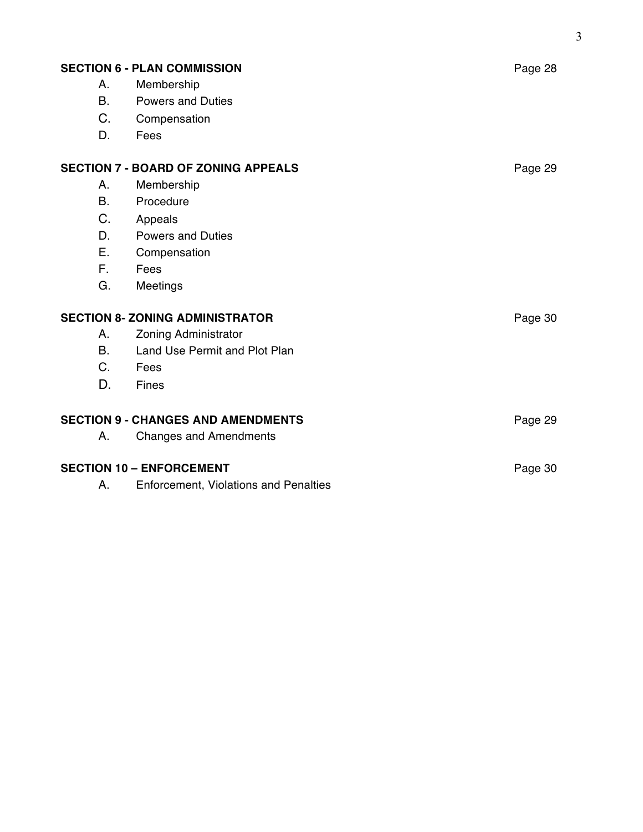| <b>SECTION 6 - PLAN COMMISSION</b><br>Page 28         |                                              |         |
|-------------------------------------------------------|----------------------------------------------|---------|
| Α.                                                    | Membership                                   |         |
| <b>B.</b>                                             | <b>Powers and Duties</b>                     |         |
| C.                                                    | Compensation                                 |         |
| D.                                                    | Fees                                         |         |
| <b>SECTION 7 - BOARD OF ZONING APPEALS</b><br>Page 29 |                                              |         |
| Α.                                                    | Membership                                   |         |
| <b>B.</b>                                             | Procedure                                    |         |
| C.                                                    | Appeals                                      |         |
| D.                                                    | <b>Powers and Duties</b>                     |         |
| Ε.                                                    | Compensation                                 |         |
| F.                                                    | Fees                                         |         |
| G.                                                    | Meetings                                     |         |
| <b>SECTION 8- ZONING ADMINISTRATOR</b><br>Page 30     |                                              |         |
| Α.                                                    | Zoning Administrator                         |         |
| <b>B.</b>                                             | Land Use Permit and Plot Plan                |         |
| $C_{1}$                                               | Fees                                         |         |
| D.                                                    | Fines                                        |         |
| <b>SECTION 9 - CHANGES AND AMENDMENTS</b>             |                                              | Page 29 |
| А.                                                    | <b>Changes and Amendments</b>                |         |
| <b>SECTION 10 - ENFORCEMENT</b>                       |                                              | Page 30 |
| А.                                                    | <b>Enforcement, Violations and Penalties</b> |         |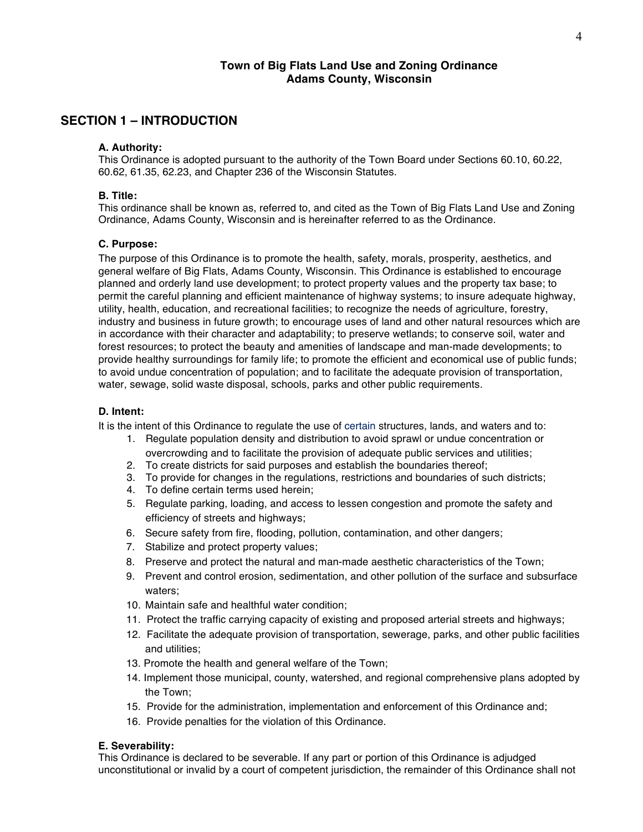## **Town of Big Flats Land Use and Zoning Ordinance Adams County, Wisconsin**

## **SECTION 1 – INTRODUCTION**

#### **A. Authority:**

This Ordinance is adopted pursuant to the authority of the Town Board under Sections 60.10, 60.22, 60.62, 61.35, 62.23, and Chapter 236 of the Wisconsin Statutes.

#### **B. Title:**

This ordinance shall be known as, referred to, and cited as the Town of Big Flats Land Use and Zoning Ordinance, Adams County, Wisconsin and is hereinafter referred to as the Ordinance.

## **C. Purpose:**

The purpose of this Ordinance is to promote the health, safety, morals, prosperity, aesthetics, and general welfare of Big Flats, Adams County, Wisconsin. This Ordinance is established to encourage planned and orderly land use development; to protect property values and the property tax base; to permit the careful planning and efficient maintenance of highway systems; to insure adequate highway, utility, health, education, and recreational facilities; to recognize the needs of agriculture, forestry, industry and business in future growth; to encourage uses of land and other natural resources which are in accordance with their character and adaptability; to preserve wetlands; to conserve soil, water and forest resources; to protect the beauty and amenities of landscape and man-made developments; to provide healthy surroundings for family life; to promote the efficient and economical use of public funds; to avoid undue concentration of population; and to facilitate the adequate provision of transportation, water, sewage, solid waste disposal, schools, parks and other public requirements.

## **D. Intent:**

It is the intent of this Ordinance to regulate the use of certain structures, lands, and waters and to:

- 1. Regulate population density and distribution to avoid sprawl or undue concentration or overcrowding and to facilitate the provision of adequate public services and utilities;
- 2. To create districts for said purposes and establish the boundaries thereof;
- 3. To provide for changes in the regulations, restrictions and boundaries of such districts;
- 4. To define certain terms used herein;
- 5. Regulate parking, loading, and access to lessen congestion and promote the safety and efficiency of streets and highways;
- 6. Secure safety from fire, flooding, pollution, contamination, and other dangers;
- 7. Stabilize and protect property values;
- 8. Preserve and protect the natural and man-made aesthetic characteristics of the Town;
- 9. Prevent and control erosion, sedimentation, and other pollution of the surface and subsurface waters;
- 10. Maintain safe and healthful water condition;
- 11. Protect the traffic carrying capacity of existing and proposed arterial streets and highways;
- 12. Facilitate the adequate provision of transportation, sewerage, parks, and other public facilities and utilities;
- 13. Promote the health and general welfare of the Town;
- 14. Implement those municipal, county, watershed, and regional comprehensive plans adopted by the Town;
- 15. Provide for the administration, implementation and enforcement of this Ordinance and;
- 16. Provide penalties for the violation of this Ordinance.

## **E. Severability:**

This Ordinance is declared to be severable. If any part or portion of this Ordinance is adjudged unconstitutional or invalid by a court of competent jurisdiction, the remainder of this Ordinance shall not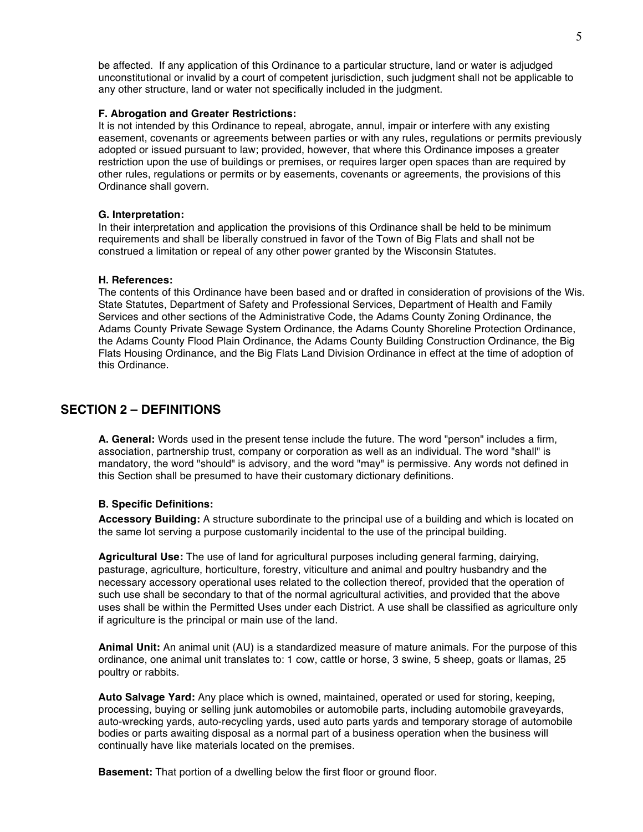be affected. If any application of this Ordinance to a particular structure, land or water is adjudged unconstitutional or invalid by a court of competent jurisdiction, such judgment shall not be applicable to any other structure, land or water not specifically included in the judgment.

#### **F. Abrogation and Greater Restrictions:**

It is not intended by this Ordinance to repeal, abrogate, annul, impair or interfere with any existing easement, covenants or agreements between parties or with any rules, regulations or permits previously adopted or issued pursuant to law; provided, however, that where this Ordinance imposes a greater restriction upon the use of buildings or premises, or requires larger open spaces than are required by other rules, regulations or permits or by easements, covenants or agreements, the provisions of this Ordinance shall govern.

## **G. Interpretation:**

In their interpretation and application the provisions of this Ordinance shall be held to be minimum requirements and shall be Iiberally construed in favor of the Town of Big Flats and shall not be construed a limitation or repeal of any other power granted by the Wisconsin Statutes.

## **H. References:**

The contents of this Ordinance have been based and or drafted in consideration of provisions of the Wis. State Statutes, Department of Safety and Professional Services, Department of Health and Family Services and other sections of the Administrative Code, the Adams County Zoning Ordinance, the Adams County Private Sewage System Ordinance, the Adams County Shoreline Protection Ordinance, the Adams County Flood Plain Ordinance, the Adams County Building Construction Ordinance, the Big Flats Housing Ordinance, and the Big Flats Land Division Ordinance in effect at the time of adoption of this Ordinance.

## **SECTION 2 – DEFINITIONS**

**A. General:** Words used in the present tense include the future. The word "person" includes a firm, association, partnership trust, company or corporation as well as an individual. The word "shall" is mandatory, the word "should" is advisory, and the word "may" is permissive. Any words not defined in this Section shall be presumed to have their customary dictionary definitions.

## **B. Specific Definitions:**

**Accessory Building:** A structure subordinate to the principal use of a building and which is located on the same lot serving a purpose customarily incidental to the use of the principal building.

**Agricultural Use:** The use of land for agricultural purposes including general farming, dairying, pasturage, agriculture, horticulture, forestry, viticulture and animal and poultry husbandry and the necessary accessory operational uses related to the collection thereof, provided that the operation of such use shall be secondary to that of the normal agricultural activities, and provided that the above uses shall be within the Permitted Uses under each District. A use shall be classified as agriculture only if agriculture is the principal or main use of the land.

**Animal Unit:** An animal unit (AU) is a standardized measure of mature animals. For the purpose of this ordinance, one animal unit translates to: 1 cow, cattle or horse, 3 swine, 5 sheep, goats or llamas, 25 poultry or rabbits.

**Auto Salvage Yard:** Any place which is owned, maintained, operated or used for storing, keeping, processing, buying or selling junk automobiles or automobile parts, including automobile graveyards, auto-wrecking yards, auto-recycling yards, used auto parts yards and temporary storage of automobile bodies or parts awaiting disposal as a normal part of a business operation when the business will continually have like materials located on the premises.

**Basement:** That portion of a dwelling below the first floor or ground floor.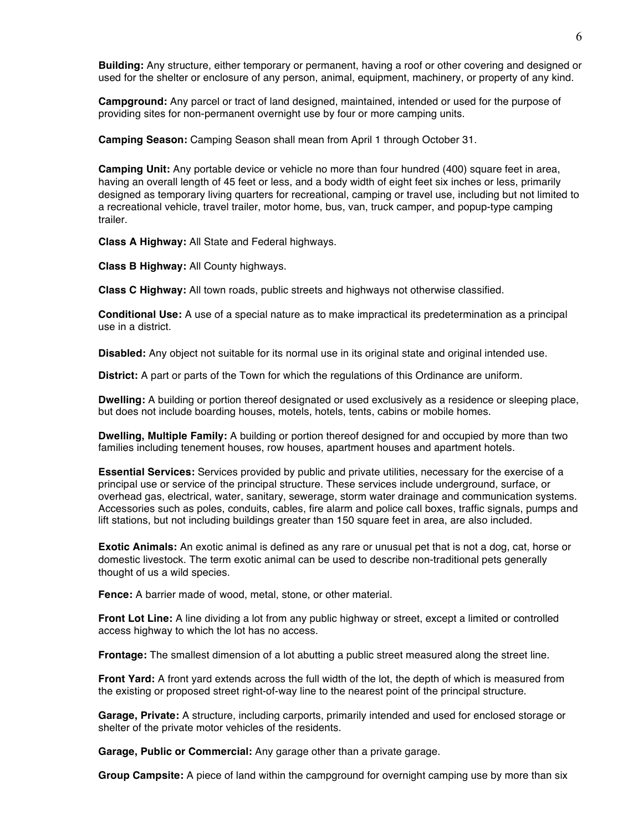**Building:** Any structure, either temporary or permanent, having a roof or other covering and designed or used for the shelter or enclosure of any person, animal, equipment, machinery, or property of any kind.

**Campground:** Any parcel or tract of land designed, maintained, intended or used for the purpose of providing sites for non-permanent overnight use by four or more camping units.

**Camping Season:** Camping Season shall mean from April 1 through October 31.

**Camping Unit:** Any portable device or vehicle no more than four hundred (400) square feet in area, having an overall length of 45 feet or less, and a body width of eight feet six inches or less, primarily designed as temporary living quarters for recreational, camping or travel use, including but not limited to a recreational vehicle, travel trailer, motor home, bus, van, truck camper, and popup-type camping trailer.

**Class A Highway:** All State and Federal highways.

**Class B Highway:** All County highways.

**Class C Highway:** All town roads, public streets and highways not otherwise classified.

**Conditional Use:** A use of a special nature as to make impractical its predetermination as a principal use in a district.

**Disabled:** Any object not suitable for its normal use in its original state and original intended use.

**District:** A part or parts of the Town for which the regulations of this Ordinance are uniform.

**Dwelling:** A building or portion thereof designated or used exclusively as a residence or sleeping place, but does not include boarding houses, motels, hotels, tents, cabins or mobile homes.

**Dwelling, Multiple Family:** A building or portion thereof designed for and occupied by more than two families including tenement houses, row houses, apartment houses and apartment hotels.

**Essential Services:** Services provided by public and private utilities, necessary for the exercise of a principal use or service of the principal structure. These services include underground, surface, or overhead gas, electrical, water, sanitary, sewerage, storm water drainage and communication systems. Accessories such as poles, conduits, cables, fire alarm and police call boxes, traffic signals, pumps and lift stations, but not including buildings greater than 150 square feet in area, are also included.

**Exotic Animals:** An exotic animal is defined as any rare or unusual pet that is not a dog, cat, horse or domestic livestock. The term exotic animal can be used to describe non-traditional pets generally thought of us a wild species.

**Fence:** A barrier made of wood, metal, stone, or other material.

**Front Lot Line:** A line dividing a lot from any public highway or street, except a limited or controlled access highway to which the lot has no access.

**Frontage:** The smallest dimension of a lot abutting a public street measured along the street line.

**Front Yard:** A front yard extends across the full width of the lot, the depth of which is measured from the existing or proposed street right-of-way line to the nearest point of the principal structure.

**Garage, Private:** A structure, including carports, primarily intended and used for enclosed storage or shelter of the private motor vehicles of the residents.

**Garage, Public or Commercial:** Any garage other than a private garage.

**Group Campsite:** A piece of land within the campground for overnight camping use by more than six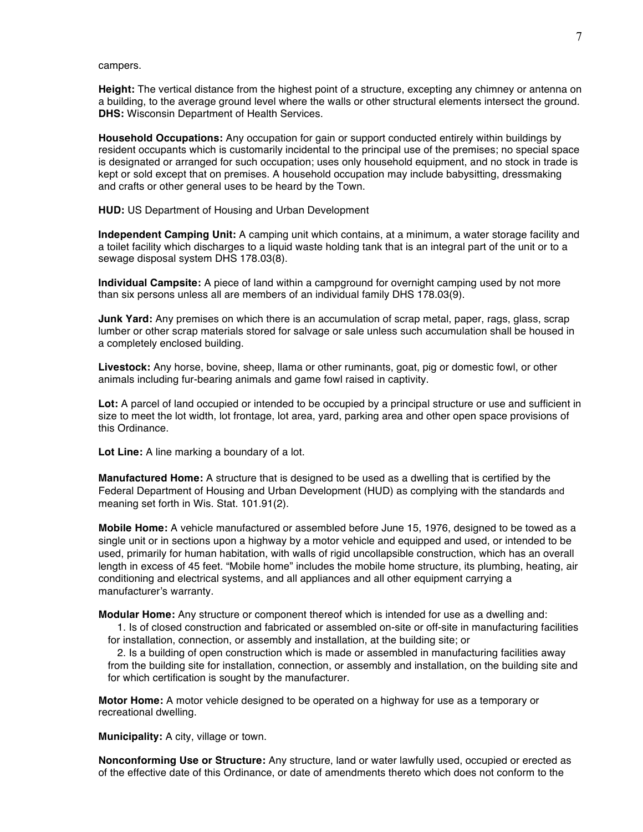campers.

**Height:** The vertical distance from the highest point of a structure, excepting any chimney or antenna on a building, to the average ground level where the walls or other structural elements intersect the ground. **DHS:** Wisconsin Department of Health Services.

**Household Occupations:** Any occupation for gain or support conducted entirely within buildings by resident occupants which is customarily incidental to the principal use of the premises; no special space is designated or arranged for such occupation; uses only household equipment, and no stock in trade is kept or sold except that on premises. A household occupation may include babysitting, dressmaking and crafts or other general uses to be heard by the Town.

**HUD:** US Department of Housing and Urban Development

**Independent Camping Unit:** A camping unit which contains, at a minimum, a water storage facility and a toilet facility which discharges to a liquid waste holding tank that is an integral part of the unit or to a sewage disposal system DHS 178.03(8).

**Individual Campsite:** A piece of land within a campground for overnight camping used by not more than six persons unless all are members of an individual family DHS 178.03(9).

**Junk Yard:** Any premises on which there is an accumulation of scrap metal, paper, rags, glass, scrap lumber or other scrap materials stored for salvage or sale unless such accumulation shall be housed in a completely enclosed building.

**Livestock:** Any horse, bovine, sheep, llama or other ruminants, goat, pig or domestic fowl, or other animals including fur-bearing animals and game fowl raised in captivity.

**Lot:** A parcel of land occupied or intended to be occupied by a principal structure or use and sufficient in size to meet the lot width, lot frontage, lot area, yard, parking area and other open space provisions of this Ordinance.

**Lot Line:** A line marking a boundary of a lot.

**Manufactured Home:** A structure that is designed to be used as a dwelling that is certified by the Federal Department of Housing and Urban Development (HUD) as complying with the standards and meaning set forth in Wis. Stat. 101.91(2).

**Mobile Home:** A vehicle manufactured or assembled before June 15, 1976, designed to be towed as a single unit or in sections upon a highway by a motor vehicle and equipped and used, or intended to be used, primarily for human habitation, with walls of rigid uncollapsible construction, which has an overall length in excess of 45 feet. "Mobile home" includes the mobile home structure, its plumbing, heating, air conditioning and electrical systems, and all appliances and all other equipment carrying a manufacturer's warranty.

**Modular Home:** Any structure or component thereof which is intended for use as a dwelling and:

1. Is of closed construction and fabricated or assembled on-site or off-site in manufacturing facilities for installation, connection, or assembly and installation, at the building site; or

2. Is a building of open construction which is made or assembled in manufacturing facilities away from the building site for installation, connection, or assembly and installation, on the building site and for which certification is sought by the manufacturer.

**Motor Home:** A motor vehicle designed to be operated on a highway for use as a temporary or recreational dwelling.

**Municipality:** A city, village or town.

**Nonconforming Use or Structure:** Any structure, land or water lawfully used, occupied or erected as of the effective date of this Ordinance, or date of amendments thereto which does not conform to the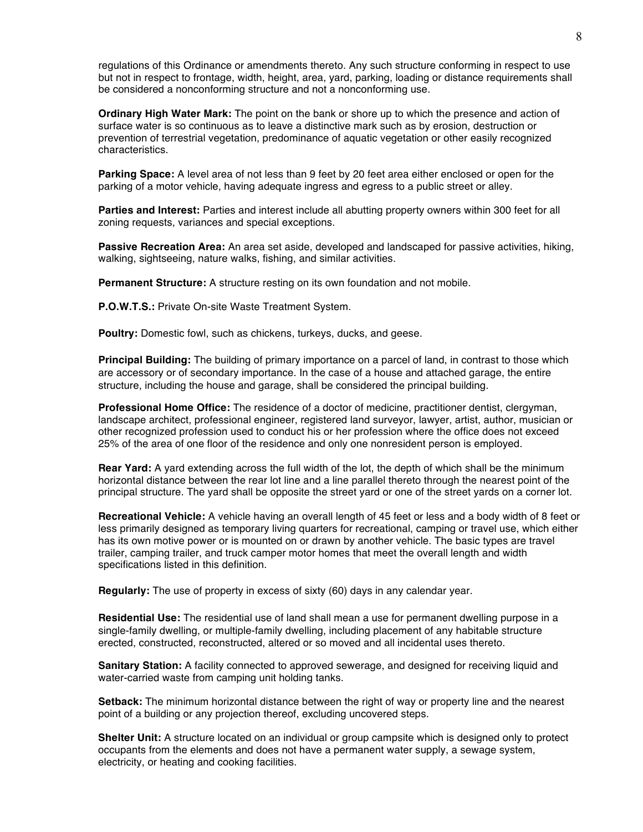regulations of this Ordinance or amendments thereto. Any such structure conforming in respect to use but not in respect to frontage, width, height, area, yard, parking, loading or distance requirements shall be considered a nonconforming structure and not a nonconforming use.

**Ordinary High Water Mark:** The point on the bank or shore up to which the presence and action of surface water is so continuous as to leave a distinctive mark such as by erosion, destruction or prevention of terrestrial vegetation, predominance of aquatic vegetation or other easily recognized characteristics.

**Parking Space:** A level area of not less than 9 feet by 20 feet area either enclosed or open for the parking of a motor vehicle, having adequate ingress and egress to a public street or alley.

**Parties and Interest:** Parties and interest include all abutting property owners within 300 feet for all zoning requests, variances and special exceptions.

**Passive Recreation Area:** An area set aside, developed and landscaped for passive activities, hiking, walking, sightseeing, nature walks, fishing, and similar activities.

**Permanent Structure:** A structure resting on its own foundation and not mobile.

**P.O.W.T.S.:** Private On-site Waste Treatment System.

**Poultry:** Domestic fowl, such as chickens, turkeys, ducks, and geese.

**Principal Building:** The building of primary importance on a parcel of land, in contrast to those which are accessory or of secondary importance. In the case of a house and attached garage, the entire structure, including the house and garage, shall be considered the principal building.

**Professional Home Office:** The residence of a doctor of medicine, practitioner dentist, clergyman, landscape architect, professional engineer, registered land surveyor, lawyer, artist, author, musician or other recognized profession used to conduct his or her profession where the office does not exceed 25% of the area of one floor of the residence and only one nonresident person is employed.

**Rear Yard:** A yard extending across the full width of the lot, the depth of which shall be the minimum horizontal distance between the rear lot line and a line parallel thereto through the nearest point of the principal structure. The yard shall be opposite the street yard or one of the street yards on a corner lot.

**Recreational Vehicle:** A vehicle having an overall length of 45 feet or less and a body width of 8 feet or less primarily designed as temporary living quarters for recreational, camping or travel use, which either has its own motive power or is mounted on or drawn by another vehicle. The basic types are travel trailer, camping trailer, and truck camper motor homes that meet the overall length and width specifications listed in this definition.

**Regularly:** The use of property in excess of sixty (60) days in any calendar year.

**Residential Use:** The residential use of land shall mean a use for permanent dwelling purpose in a single-family dwelling, or multiple-family dwelling, including placement of any habitable structure erected, constructed, reconstructed, altered or so moved and all incidental uses thereto.

**Sanitary Station:** A facility connected to approved sewerage, and designed for receiving liquid and water-carried waste from camping unit holding tanks.

**Setback:** The minimum horizontal distance between the right of way or property line and the nearest point of a building or any projection thereof, excluding uncovered steps.

**Shelter Unit:** A structure located on an individual or group campsite which is designed only to protect occupants from the elements and does not have a permanent water supply, a sewage system, electricity, or heating and cooking facilities.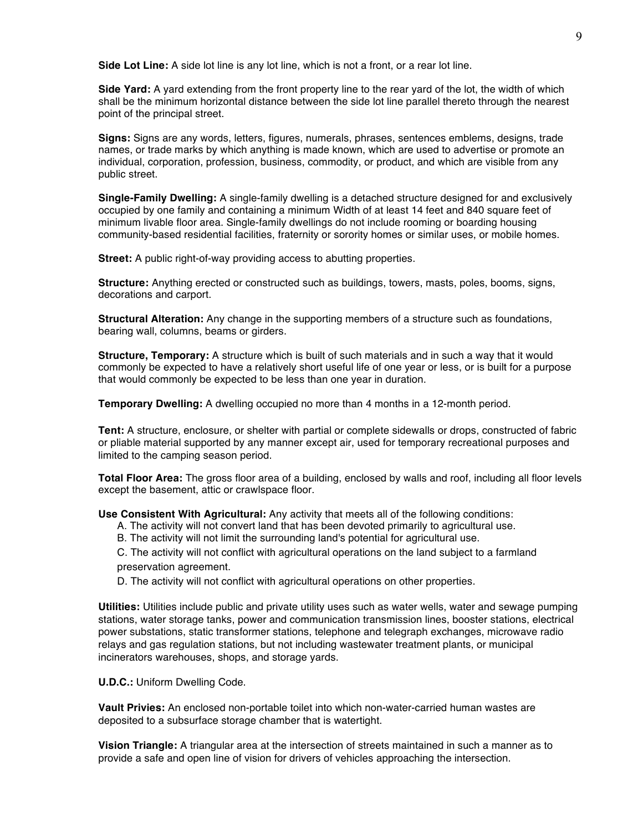**Side Lot Line:** A side lot line is any lot line, which is not a front, or a rear lot line.

**Side Yard:** A yard extending from the front property line to the rear yard of the lot, the width of which shall be the minimum horizontal distance between the side lot line parallel thereto through the nearest point of the principal street.

**Signs:** Signs are any words, letters, figures, numerals, phrases, sentences emblems, designs, trade names, or trade marks by which anything is made known, which are used to advertise or promote an individual, corporation, profession, business, commodity, or product, and which are visible from any public street.

**Single-Family Dwelling:** A single-family dwelling is a detached structure designed for and exclusively occupied by one family and containing a minimum Width of at least 14 feet and 840 square feet of minimum livable floor area. Single-family dwellings do not include rooming or boarding housing community-based residential facilities, fraternity or sorority homes or similar uses, or mobile homes.

**Street:** A public right-of-way providing access to abutting properties.

**Structure:** Anything erected or constructed such as buildings, towers, masts, poles, booms, signs, decorations and carport.

**Structural Alteration:** Any change in the supporting members of a structure such as foundations, bearing wall, columns, beams or girders.

**Structure, Temporary:** A structure which is built of such materials and in such a way that it would commonly be expected to have a relatively short useful life of one year or less, or is built for a purpose that would commonly be expected to be less than one year in duration.

**Temporary Dwelling:** A dwelling occupied no more than 4 months in a 12-month period.

**Tent:** A structure, enclosure, or shelter with partial or complete sidewalls or drops, constructed of fabric or pliable material supported by any manner except air, used for temporary recreational purposes and limited to the camping season period.

**Total Floor Area:** The gross floor area of a building, enclosed by walls and roof, including all floor levels except the basement, attic or crawlspace floor.

**Use Consistent With Agricultural:** Any activity that meets all of the following conditions:

- A. The activity will not convert land that has been devoted primarily to agricultural use.
- B. The activity will not limit the surrounding land's potential for agricultural use.

C. The activity will not conflict with agricultural operations on the land subject to a farmland preservation agreement.

D. The activity will not conflict with agricultural operations on other properties.

**Utilities:** Utilities include public and private utility uses such as water wells, water and sewage pumping stations, water storage tanks, power and communication transmission lines, booster stations, electrical power substations, static transformer stations, telephone and telegraph exchanges, microwave radio relays and gas regulation stations, but not including wastewater treatment plants, or municipal incinerators warehouses, shops, and storage yards.

**U.D.C.:** Uniform Dwelling Code.

**Vault Privies:** An enclosed non-portable toilet into which non-water-carried human wastes are deposited to a subsurface storage chamber that is watertight.

**Vision Triangle:** A triangular area at the intersection of streets maintained in such a manner as to provide a safe and open line of vision for drivers of vehicles approaching the intersection.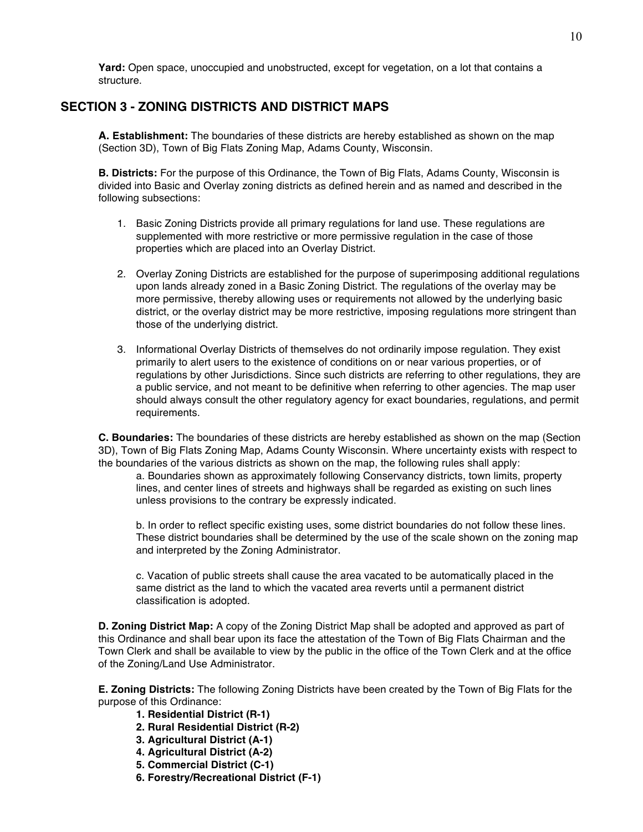**Yard:** Open space, unoccupied and unobstructed, except for vegetation, on a lot that contains a structure.

## **SECTION 3 - ZONING DISTRICTS AND DISTRICT MAPS**

**A. Establishment:** The boundaries of these districts are hereby established as shown on the map (Section 3D), Town of Big Flats Zoning Map, Adams County, Wisconsin.

**B. Districts:** For the purpose of this Ordinance, the Town of Big Flats, Adams County, Wisconsin is divided into Basic and Overlay zoning districts as defined herein and as named and described in the following subsections:

- 1. Basic Zoning Districts provide all primary regulations for land use. These regulations are supplemented with more restrictive or more permissive regulation in the case of those properties which are placed into an Overlay District.
- 2. Overlay Zoning Districts are established for the purpose of superimposing additional regulations upon lands already zoned in a Basic Zoning District. The regulations of the overlay may be more permissive, thereby allowing uses or requirements not allowed by the underlying basic district, or the overlay district may be more restrictive, imposing regulations more stringent than those of the underlying district.
- 3. Informational Overlay Districts of themselves do not ordinarily impose regulation. They exist primarily to alert users to the existence of conditions on or near various properties, or of regulations by other Jurisdictions. Since such districts are referring to other regulations, they are a public service, and not meant to be definitive when referring to other agencies. The map user should always consult the other regulatory agency for exact boundaries, regulations, and permit requirements.

**C. Boundaries:** The boundaries of these districts are hereby established as shown on the map (Section 3D), Town of Big Flats Zoning Map, Adams County Wisconsin. Where uncertainty exists with respect to the boundaries of the various districts as shown on the map, the following rules shall apply:

a. Boundaries shown as approximately following Conservancy districts, town limits, property lines, and center lines of streets and highways shall be regarded as existing on such lines unless provisions to the contrary be expressly indicated.

b. In order to reflect specific existing uses, some district boundaries do not follow these lines. These district boundaries shall be determined by the use of the scale shown on the zoning map and interpreted by the Zoning Administrator.

c. Vacation of public streets shall cause the area vacated to be automatically placed in the same district as the land to which the vacated area reverts until a permanent district classification is adopted.

**D. Zoning District Map:** A copy of the Zoning District Map shall be adopted and approved as part of this Ordinance and shall bear upon its face the attestation of the Town of Big Flats Chairman and the Town Clerk and shall be available to view by the public in the office of the Town Clerk and at the office of the Zoning/Land Use Administrator.

**E. Zoning Districts:** The following Zoning Districts have been created by the Town of Big Flats for the purpose of this Ordinance:

- **1. Residential District (R-1)**
- **2. Rural Residential District (R-2)**
- **3. Agricultural District (A-1)**
- **4. Agricultural District (A-2)**
- **5. Commercial District (C-1)**
- **6. Forestry/Recreational District (F-1)**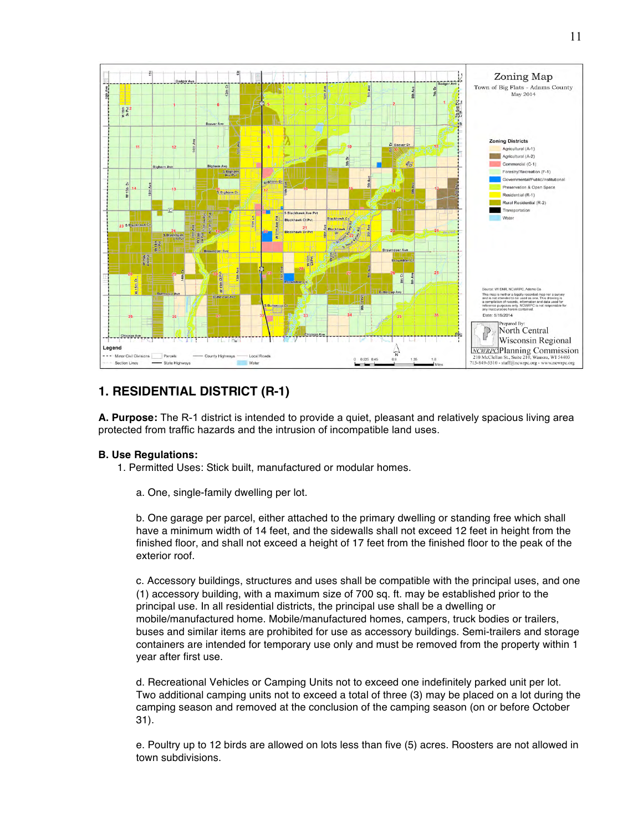

## **1. RESIDENTIAL DISTRICT (R-1)**

**A. Purpose:** The R-1 district is intended to provide a quiet, pleasant and relatively spacious living area protected from traffic hazards and the intrusion of incompatible land uses.

## **B. Use Regulations:**

- 1. Permitted Uses: Stick built, manufactured or modular homes.
	- a. One, single-family dwelling per lot.

b. One garage per parcel, either attached to the primary dwelling or standing free which shall have a minimum width of 14 feet, and the sidewalls shall not exceed 12 feet in height from the finished floor, and shall not exceed a height of 17 feet from the finished floor to the peak of the exterior roof.

c. Accessory buildings, structures and uses shall be compatible with the principal uses, and one (1) accessory building, with a maximum size of 700 sq. ft. may be established prior to the principal use. In all residential districts, the principal use shall be a dwelling or mobile/manufactured home. Mobile/manufactured homes, campers, truck bodies or trailers, buses and similar items are prohibited for use as accessory buildings. Semi-trailers and storage containers are intended for temporary use only and must be removed from the property within 1 year after first use.

d. Recreational Vehicles or Camping Units not to exceed one indefinitely parked unit per lot. Two additional camping units not to exceed a total of three (3) may be placed on a lot during the camping season and removed at the conclusion of the camping season (on or before October 31).

e. Poultry up to 12 birds are allowed on lots less than five (5) acres. Roosters are not allowed in town subdivisions.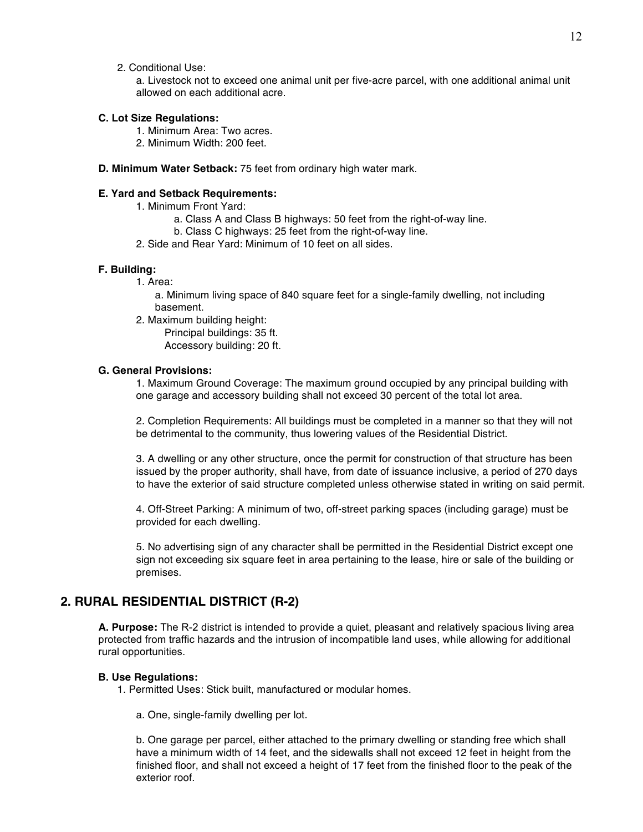2. Conditional Use:

a. Livestock not to exceed one animal unit per five-acre parcel, with one additional animal unit allowed on each additional acre.

## **C. Lot Size Regulations:**

- 1. Minimum Area: Two acres.
- 2. Minimum Width: 200 feet.
- **D. Minimum Water Setback:** 75 feet from ordinary high water mark.

## **E. Yard and Setback Requirements:**

- 1. Minimum Front Yard:
	- a. Class A and Class B highways: 50 feet from the right-of-way line.
	- b. Class C highways: 25 feet from the right-of-way line.
- 2. Side and Rear Yard: Minimum of 10 feet on all sides.

#### **F. Building:**

1. Area:

a. Minimum living space of 840 square feet for a single-family dwelling, not including basement.

2. Maximum building height:

Principal buildings: 35 ft. Accessory building: 20 ft.

## **G. General Provisions:**

1. Maximum Ground Coverage: The maximum ground occupied by any principal building with one garage and accessory building shall not exceed 30 percent of the total lot area.

2. Completion Requirements: All buildings must be completed in a manner so that they will not be detrimental to the community, thus lowering values of the Residential District.

3. A dwelling or any other structure, once the permit for construction of that structure has been issued by the proper authority, shall have, from date of issuance inclusive, a period of 270 days to have the exterior of said structure completed unless otherwise stated in writing on said permit.

4. Off-Street Parking: A minimum of two, off-street parking spaces (including garage) must be provided for each dwelling.

5. No advertising sign of any character shall be permitted in the Residential District except one sign not exceeding six square feet in area pertaining to the lease, hire or sale of the building or premises.

## **2. RURAL RESIDENTIAL DISTRICT (R-2)**

**A. Purpose:** The R-2 district is intended to provide a quiet, pleasant and relatively spacious living area protected from traffic hazards and the intrusion of incompatible land uses, while allowing for additional rural opportunities.

### **B. Use Regulations:**

- 1. Permitted Uses: Stick built, manufactured or modular homes.
	- a. One, single-family dwelling per lot.

b. One garage per parcel, either attached to the primary dwelling or standing free which shall have a minimum width of 14 feet, and the sidewalls shall not exceed 12 feet in height from the finished floor, and shall not exceed a height of 17 feet from the finished floor to the peak of the exterior roof.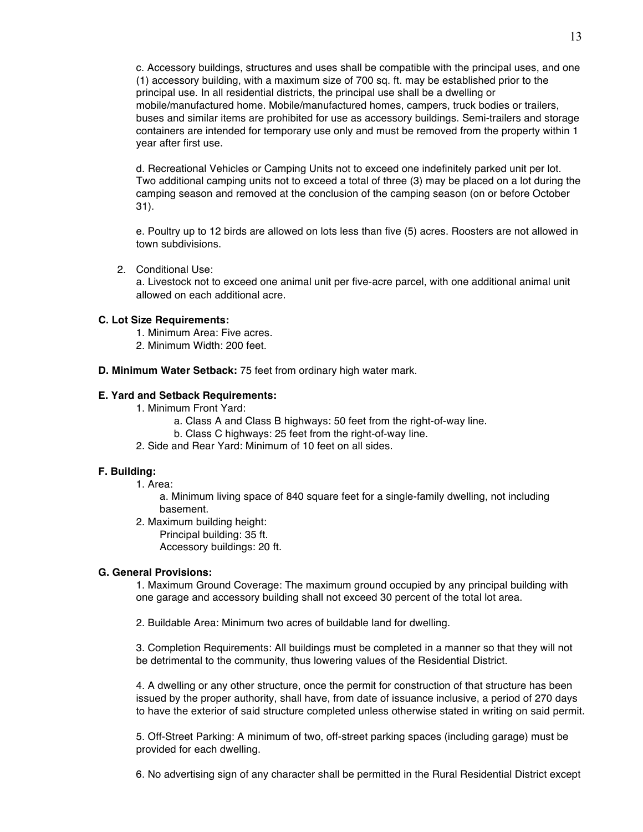c. Accessory buildings, structures and uses shall be compatible with the principal uses, and one (1) accessory building, with a maximum size of 700 sq. ft. may be established prior to the principal use. In all residential districts, the principal use shall be a dwelling or mobile/manufactured home. Mobile/manufactured homes, campers, truck bodies or trailers, buses and similar items are prohibited for use as accessory buildings. Semi-trailers and storage containers are intended for temporary use only and must be removed from the property within 1 year after first use.

d. Recreational Vehicles or Camping Units not to exceed one indefinitely parked unit per lot. Two additional camping units not to exceed a total of three (3) may be placed on a lot during the camping season and removed at the conclusion of the camping season (on or before October 31).

e. Poultry up to 12 birds are allowed on lots less than five (5) acres. Roosters are not allowed in town subdivisions.

2. Conditional Use:

a. Livestock not to exceed one animal unit per five-acre parcel, with one additional animal unit allowed on each additional acre.

## **C. Lot Size Requirements:**

- 1. Minimum Area: Five acres.
- 2. Minimum Width: 200 feet.

**D. Minimum Water Setback:** 75 feet from ordinary high water mark.

## **E. Yard and Setback Requirements:**

- 1. Minimum Front Yard:
	- a. Class A and Class B highways: 50 feet from the right-of-way line.
	- b. Class C highways: 25 feet from the right-of-way line.
- 2. Side and Rear Yard: Minimum of 10 feet on all sides.

## **F. Building:**

1. Area:

a. Minimum living space of 840 square feet for a single-family dwelling, not including basement.

- 2. Maximum building height:
	- Principal building: 35 ft.

Accessory buildings: 20 ft.

## **G. General Provisions:**

1. Maximum Ground Coverage: The maximum ground occupied by any principal building with one garage and accessory building shall not exceed 30 percent of the total lot area.

2. Buildable Area: Minimum two acres of buildable land for dwelling.

3. Completion Requirements: All buildings must be completed in a manner so that they will not be detrimental to the community, thus lowering values of the Residential District.

4. A dwelling or any other structure, once the permit for construction of that structure has been issued by the proper authority, shall have, from date of issuance inclusive, a period of 270 days to have the exterior of said structure completed unless otherwise stated in writing on said permit.

5. Off-Street Parking: A minimum of two, off-street parking spaces (including garage) must be provided for each dwelling.

6. No advertising sign of any character shall be permitted in the Rural Residential District except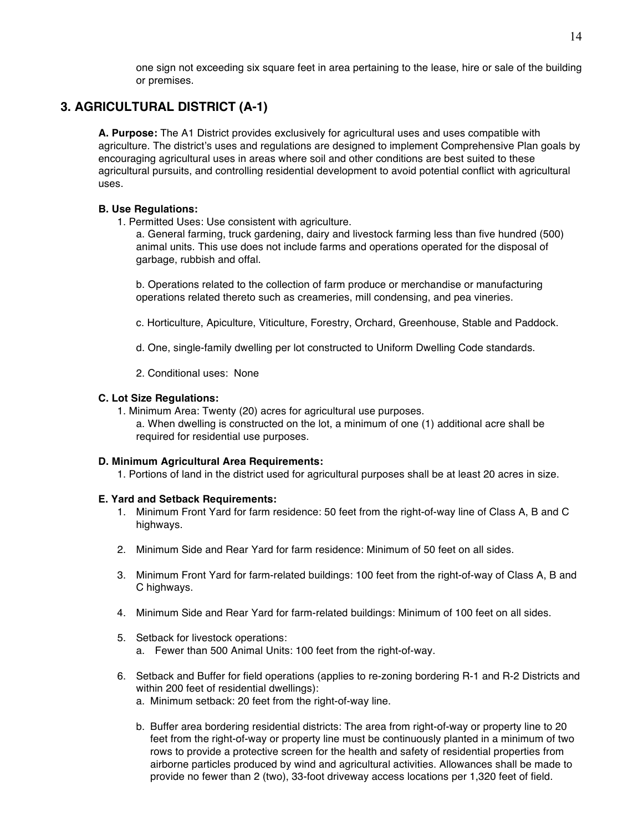one sign not exceeding six square feet in area pertaining to the lease, hire or sale of the building or premises.

## **3. AGRICULTURAL DISTRICT (A-1)**

**A. Purpose:** The A1 District provides exclusively for agricultural uses and uses compatible with agriculture. The district's uses and regulations are designed to implement Comprehensive Plan goals by encouraging agricultural uses in areas where soil and other conditions are best suited to these agricultural pursuits, and controlling residential development to avoid potential conflict with agricultural uses.

## **B. Use Regulations:**

1. Permitted Uses: Use consistent with agriculture.

a. General farming, truck gardening, dairy and livestock farming less than five hundred (500) animal units. This use does not include farms and operations operated for the disposal of garbage, rubbish and offal.

b. Operations related to the collection of farm produce or merchandise or manufacturing operations related thereto such as creameries, mill condensing, and pea vineries.

- c. Horticulture, Apiculture, Viticulture, Forestry, Orchard, Greenhouse, Stable and Paddock.
- d. One, single-family dwelling per lot constructed to Uniform Dwelling Code standards.
- 2. Conditional uses: None

## **C. Lot Size Regulations:**

1. Minimum Area: Twenty (20) acres for agricultural use purposes.

a. When dwelling is constructed on the lot, a minimum of one (1) additional acre shall be required for residential use purposes.

## **D. Minimum Agricultural Area Requirements:**

1. Portions of land in the district used for agricultural purposes shall be at least 20 acres in size.

## **E. Yard and Setback Requirements:**

- 1. Minimum Front Yard for farm residence: 50 feet from the right-of-way line of Class A, B and C highways.
- 2. Minimum Side and Rear Yard for farm residence: Minimum of 50 feet on all sides.
- 3. Minimum Front Yard for farm-related buildings: 100 feet from the right-of-way of Class A, B and C highways.
- 4. Minimum Side and Rear Yard for farm-related buildings: Minimum of 100 feet on all sides.
- 5. Setback for livestock operations: a. Fewer than 500 Animal Units: 100 feet from the right-of-way.
- 6. Setback and Buffer for field operations (applies to re-zoning bordering R-1 and R-2 Districts and within 200 feet of residential dwellings):
	- a. Minimum setback: 20 feet from the right-of-way line.
	- b. Buffer area bordering residential districts: The area from right-of-way or property line to 20 feet from the right-of-way or property line must be continuously planted in a minimum of two rows to provide a protective screen for the health and safety of residential properties from airborne particles produced by wind and agricultural activities. Allowances shall be made to provide no fewer than 2 (two), 33-foot driveway access locations per 1,320 feet of field.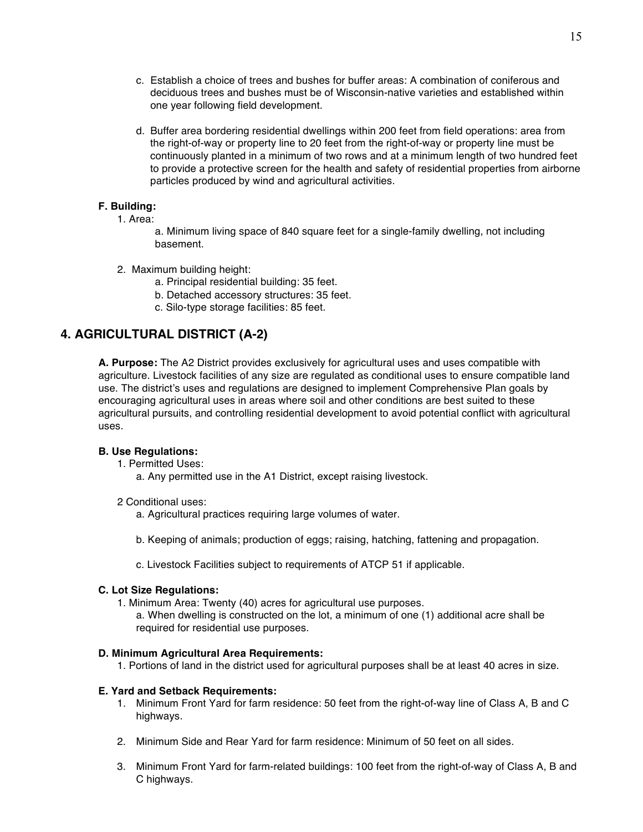- c. Establish a choice of trees and bushes for buffer areas: A combination of coniferous and deciduous trees and bushes must be of Wisconsin-native varieties and established within one year following field development.
- d. Buffer area bordering residential dwellings within 200 feet from field operations: area from the right-of-way or property line to 20 feet from the right-of-way or property line must be continuously planted in a minimum of two rows and at a minimum length of two hundred feet to provide a protective screen for the health and safety of residential properties from airborne particles produced by wind and agricultural activities.

## **F. Building:**

1. Area:

a. Minimum living space of 840 square feet for a single-family dwelling, not including basement.

- 2. Maximum building height:
	- a. Principal residential building: 35 feet.
	- b. Detached accessory structures: 35 feet.
	- c. Silo-type storage facilities: 85 feet.

## **4. AGRICULTURAL DISTRICT (A-2)**

**A. Purpose:** The A2 District provides exclusively for agricultural uses and uses compatible with agriculture. Livestock facilities of any size are regulated as conditional uses to ensure compatible land use. The district's uses and regulations are designed to implement Comprehensive Plan goals by encouraging agricultural uses in areas where soil and other conditions are best suited to these agricultural pursuits, and controlling residential development to avoid potential conflict with agricultural uses.

## **B. Use Regulations:**

1. Permitted Uses:

- a. Any permitted use in the A1 District, except raising livestock.
- 2 Conditional uses:
	- a. Agricultural practices requiring large volumes of water.
	- b. Keeping of animals; production of eggs; raising, hatching, fattening and propagation.
	- c. Livestock Facilities subject to requirements of ATCP 51 if applicable.

## **C. Lot Size Regulations:**

1. Minimum Area: Twenty (40) acres for agricultural use purposes.

a. When dwelling is constructed on the lot, a minimum of one (1) additional acre shall be required for residential use purposes.

## **D. Minimum Agricultural Area Requirements:**

1. Portions of land in the district used for agricultural purposes shall be at least 40 acres in size.

## **E. Yard and Setback Requirements:**

- 1. Minimum Front Yard for farm residence: 50 feet from the right-of-way line of Class A, B and C highways.
- 2. Minimum Side and Rear Yard for farm residence: Minimum of 50 feet on all sides.
- 3. Minimum Front Yard for farm-related buildings: 100 feet from the right-of-way of Class A, B and C highways.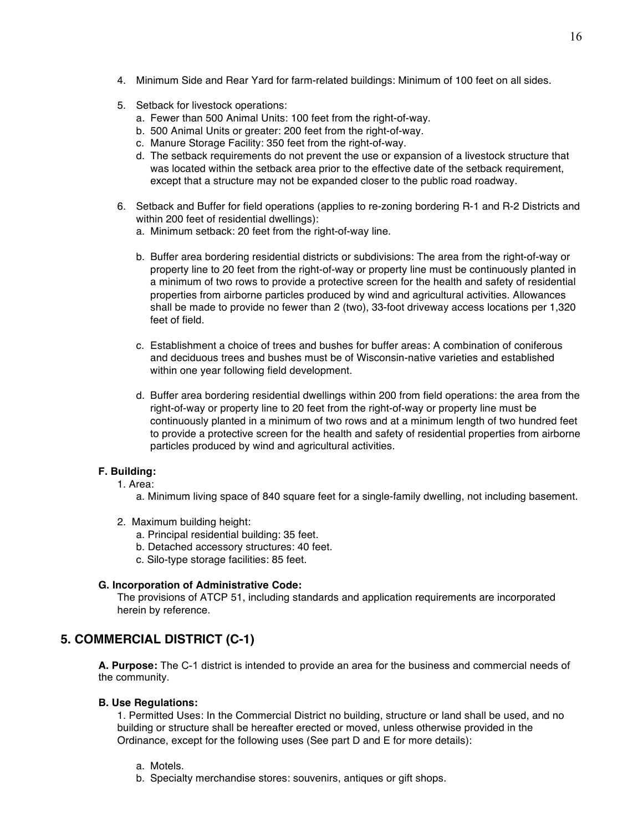- 4. Minimum Side and Rear Yard for farm-related buildings: Minimum of 100 feet on all sides.
- 5. Setback for livestock operations:
	- a. Fewer than 500 Animal Units: 100 feet from the right-of-way.
	- b. 500 Animal Units or greater: 200 feet from the right-of-way.
	- c. Manure Storage Facility: 350 feet from the right-of-way.
	- d. The setback requirements do not prevent the use or expansion of a livestock structure that was located within the setback area prior to the effective date of the setback requirement, except that a structure may not be expanded closer to the public road roadway.
- 6. Setback and Buffer for field operations (applies to re-zoning bordering R-1 and R-2 Districts and within 200 feet of residential dwellings):
	- a. Minimum setback: 20 feet from the right-of-way line.
	- b. Buffer area bordering residential districts or subdivisions: The area from the right-of-way or property line to 20 feet from the right-of-way or property line must be continuously planted in a minimum of two rows to provide a protective screen for the health and safety of residential properties from airborne particles produced by wind and agricultural activities. Allowances shall be made to provide no fewer than 2 (two), 33-foot driveway access locations per 1,320 feet of field.
	- c. Establishment a choice of trees and bushes for buffer areas: A combination of coniferous and deciduous trees and bushes must be of Wisconsin-native varieties and established within one year following field development.
	- d. Buffer area bordering residential dwellings within 200 from field operations: the area from the right-of-way or property line to 20 feet from the right-of-way or property line must be continuously planted in a minimum of two rows and at a minimum length of two hundred feet to provide a protective screen for the health and safety of residential properties from airborne particles produced by wind and agricultural activities.

## **F. Building:**

- 1. Area:
	- a. Minimum living space of 840 square feet for a single-family dwelling, not including basement.
- 2. Maximum building height:
	- a. Principal residential building: 35 feet.
	- b. Detached accessory structures: 40 feet.
	- c. Silo-type storage facilities: 85 feet.

## **G. Incorporation of Administrative Code:**

The provisions of ATCP 51, including standards and application requirements are incorporated herein by reference.

## **5. COMMERCIAL DISTRICT (C-1)**

**A. Purpose:** The C-1 district is intended to provide an area for the business and commercial needs of the community.

## **B. Use Regulations:**

1. Permitted Uses: In the Commercial District no building, structure or land shall be used, and no building or structure shall be hereafter erected or moved, unless otherwise provided in the Ordinance, except for the following uses (See part D and E for more details):

- a. Motels.
- b. Specialty merchandise stores: souvenirs, antiques or gift shops.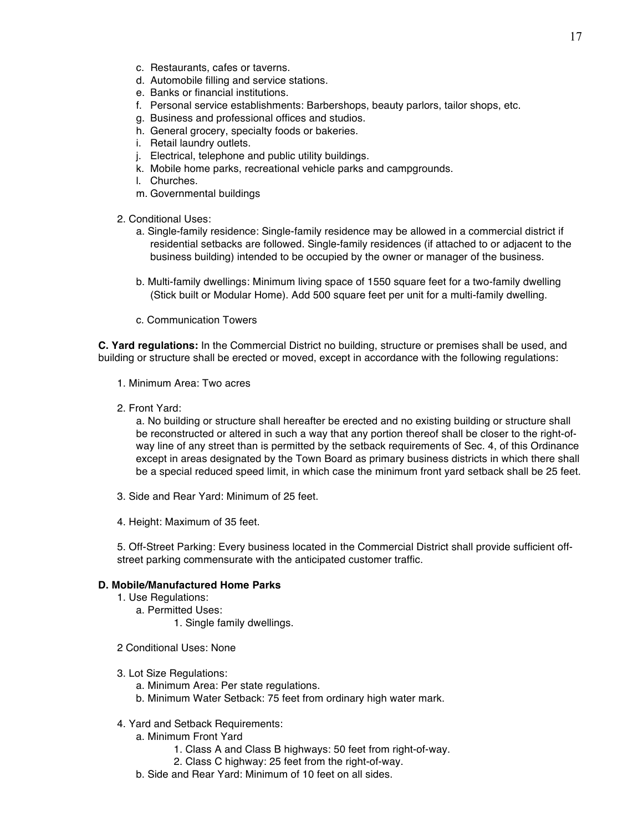- c. Restaurants, cafes or taverns.
- d. Automobile filling and service stations.
- e. Banks or financial institutions.
- f. Personal service establishments: Barbershops, beauty parlors, tailor shops, etc.
- g. Business and professional offices and studios.
- h. General grocery, specialty foods or bakeries.
- i. Retail laundry outlets.
- j. Electrical, telephone and public utility buildings.
- k. Mobile home parks, recreational vehicle parks and campgrounds.
- l. Churches.
- m. Governmental buildings
- 2. Conditional Uses:
	- a. Single-family residence: Single-family residence may be allowed in a commercial district if residential setbacks are followed. Single-family residences (if attached to or adjacent to the business building) intended to be occupied by the owner or manager of the business.
	- b. Multi-family dwellings: Minimum living space of 1550 square feet for a two-family dwelling (Stick built or Modular Home). Add 500 square feet per unit for a multi-family dwelling.
	- c. Communication Towers

**C. Yard regulations:** In the Commercial District no building, structure or premises shall be used, and building or structure shall be erected or moved, except in accordance with the following regulations:

- 1. Minimum Area: Two acres
- 2. Front Yard:

a. No building or structure shall hereafter be erected and no existing building or structure shall be reconstructed or altered in such a way that any portion thereof shall be closer to the right-ofway line of any street than is permitted by the setback requirements of Sec. 4, of this Ordinance except in areas designated by the Town Board as primary business districts in which there shall be a special reduced speed limit, in which case the minimum front yard setback shall be 25 feet.

- 3. Side and Rear Yard: Minimum of 25 feet.
- 4. Height: Maximum of 35 feet.

5. Off-Street Parking: Every business located in the Commercial District shall provide sufficient offstreet parking commensurate with the anticipated customer traffic.

## **D. Mobile/Manufactured Home Parks**

- 1. Use Regulations:
	- a. Permitted Uses:
		- 1. Single family dwellings.
- 2 Conditional Uses: None
- 3. Lot Size Regulations:
	- a. Minimum Area: Per state regulations.
	- b. Minimum Water Setback: 75 feet from ordinary high water mark.
- 4. Yard and Setback Requirements:
	- a. Minimum Front Yard
		- 1. Class A and Class B highways: 50 feet from right-of-way.
		- 2. Class C highway: 25 feet from the right-of-way.
	- b. Side and Rear Yard: Minimum of 10 feet on all sides.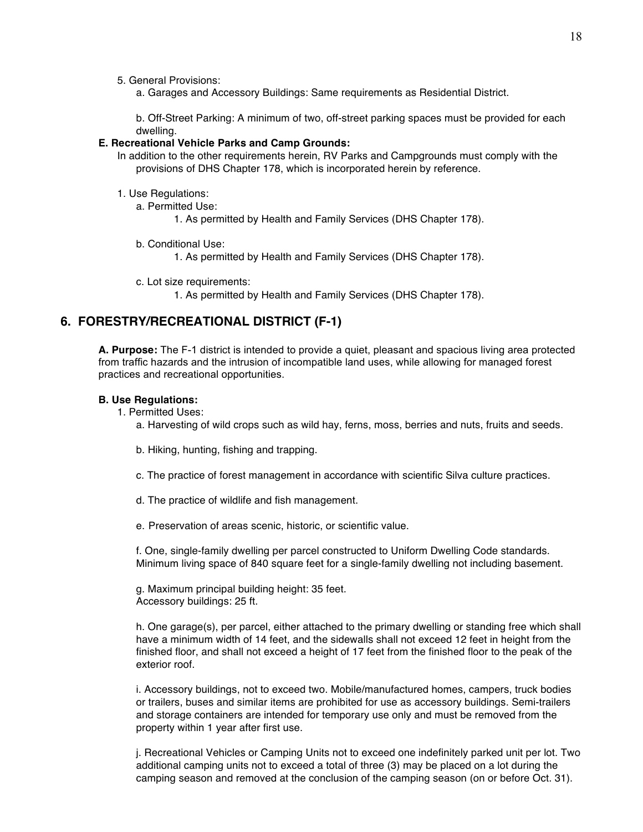5. General Provisions:

a. Garages and Accessory Buildings: Same requirements as Residential District.

b. Off-Street Parking: A minimum of two, off-street parking spaces must be provided for each dwelling.

## **E. Recreational Vehicle Parks and Camp Grounds:**

In addition to the other requirements herein, RV Parks and Campgrounds must comply with the provisions of DHS Chapter 178, which is incorporated herein by reference.

- 1. Use Regulations:
	- a. Permitted Use:
		- 1. As permitted by Health and Family Services (DHS Chapter 178).
	- b. Conditional Use:
		- 1. As permitted by Health and Family Services (DHS Chapter 178).
	- c. Lot size requirements:
		- 1. As permitted by Health and Family Services (DHS Chapter 178).

## **6. FORESTRY/RECREATIONAL DISTRICT (F-1)**

**A. Purpose:** The F-1 district is intended to provide a quiet, pleasant and spacious living area protected from traffic hazards and the intrusion of incompatible land uses, while allowing for managed forest practices and recreational opportunities.

## **B. Use Regulations:**

- 1. Permitted Uses:
	- a. Harvesting of wild crops such as wild hay, ferns, moss, berries and nuts, fruits and seeds.
	- b. Hiking, hunting, fishing and trapping.
	- c. The practice of forest management in accordance with scientific Silva culture practices.
	- d. The practice of wildlife and fish management.
	- e. Preservation of areas scenic, historic, or scientific value.

f. One, single-family dwelling per parcel constructed to Uniform Dwelling Code standards. Minimum living space of 840 square feet for a single-family dwelling not including basement.

g. Maximum principal building height: 35 feet. Accessory buildings: 25 ft.

h. One garage(s), per parcel, either attached to the primary dwelling or standing free which shall have a minimum width of 14 feet, and the sidewalls shall not exceed 12 feet in height from the finished floor, and shall not exceed a height of 17 feet from the finished floor to the peak of the exterior roof.

i. Accessory buildings, not to exceed two. Mobile/manufactured homes, campers, truck bodies or trailers, buses and similar items are prohibited for use as accessory buildings. Semi-trailers and storage containers are intended for temporary use only and must be removed from the property within 1 year after first use.

j. Recreational Vehicles or Camping Units not to exceed one indefinitely parked unit per lot. Two additional camping units not to exceed a total of three (3) may be placed on a lot during the camping season and removed at the conclusion of the camping season (on or before Oct. 31).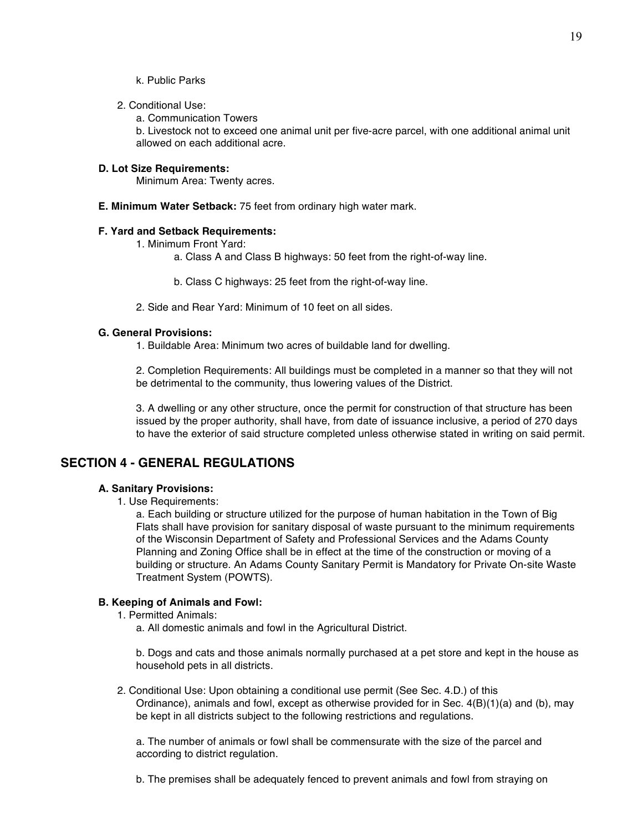2. Conditional Use:

a. Communication Towers

b. Livestock not to exceed one animal unit per five-acre parcel, with one additional animal unit allowed on each additional acre.

## **D. Lot Size Requirements:**

Minimum Area: Twenty acres.

**E. Minimum Water Setback:** 75 feet from ordinary high water mark.

## **F. Yard and Setback Requirements:**

1. Minimum Front Yard:

- a. Class A and Class B highways: 50 feet from the right-of-way line.
- b. Class C highways: 25 feet from the right-of-way line.
- 2. Side and Rear Yard: Minimum of 10 feet on all sides.

#### **G. General Provisions:**

1. Buildable Area: Minimum two acres of buildable land for dwelling.

2. Completion Requirements: All buildings must be completed in a manner so that they will not be detrimental to the community, thus lowering values of the District.

3. A dwelling or any other structure, once the permit for construction of that structure has been issued by the proper authority, shall have, from date of issuance inclusive, a period of 270 days to have the exterior of said structure completed unless otherwise stated in writing on said permit.

## **SECTION 4 - GENERAL REGULATIONS**

## **A. Sanitary Provisions:**

1. Use Requirements:

a. Each building or structure utilized for the purpose of human habitation in the Town of Big Flats shall have provision for sanitary disposal of waste pursuant to the minimum requirements of the Wisconsin Department of Safety and Professional Services and the Adams County Planning and Zoning Office shall be in effect at the time of the construction or moving of a building or structure. An Adams County Sanitary Permit is Mandatory for Private On-site Waste Treatment System (POWTS).

## **B. Keeping of Animals and Fowl:**

- 1. Permitted Animals:
	- a. All domestic animals and fowl in the Agricultural District.

b. Dogs and cats and those animals normally purchased at a pet store and kept in the house as household pets in all districts.

2. Conditional Use: Upon obtaining a conditional use permit (See Sec. 4.D.) of this Ordinance), animals and fowl, except as otherwise provided for in Sec. 4(B)(1)(a) and (b), may be kept in all districts subject to the following restrictions and regulations.

a. The number of animals or fowl shall be commensurate with the size of the parcel and according to district regulation.

b. The premises shall be adequately fenced to prevent animals and fowl from straying on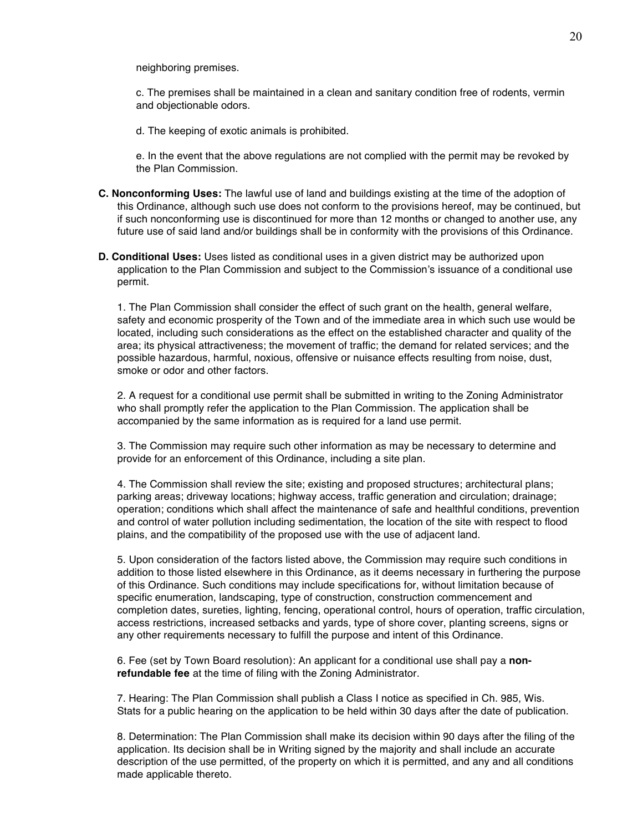neighboring premises.

c. The premises shall be maintained in a clean and sanitary condition free of rodents, vermin and objectionable odors.

d. The keeping of exotic animals is prohibited.

e. In the event that the above regulations are not complied with the permit may be revoked by the Plan Commission.

- **C. Nonconforming Uses:** The lawful use of land and buildings existing at the time of the adoption of this Ordinance, although such use does not conform to the provisions hereof, may be continued, but if such nonconforming use is discontinued for more than 12 months or changed to another use, any future use of said land and/or buildings shall be in conformity with the provisions of this Ordinance.
- **D. Conditional Uses:** Uses listed as conditional uses in a given district may be authorized upon application to the Plan Commission and subject to the Commission's issuance of a conditional use permit.

1. The Plan Commission shall consider the effect of such grant on the health, general welfare, safety and economic prosperity of the Town and of the immediate area in which such use would be located, including such considerations as the effect on the established character and quality of the area; its physical attractiveness; the movement of traffic; the demand for related services; and the possible hazardous, harmful, noxious, offensive or nuisance effects resulting from noise, dust, smoke or odor and other factors.

2. A request for a conditional use permit shall be submitted in writing to the Zoning Administrator who shall promptly refer the application to the Plan Commission. The application shall be accompanied by the same information as is required for a land use permit.

3. The Commission may require such other information as may be necessary to determine and provide for an enforcement of this Ordinance, including a site plan.

4. The Commission shall review the site; existing and proposed structures; architectural plans; parking areas; driveway locations; highway access, traffic generation and circulation; drainage; operation; conditions which shall affect the maintenance of safe and healthful conditions, prevention and control of water pollution including sedimentation, the location of the site with respect to flood plains, and the compatibility of the proposed use with the use of adjacent land.

5. Upon consideration of the factors listed above, the Commission may require such conditions in addition to those listed elsewhere in this Ordinance, as it deems necessary in furthering the purpose of this Ordinance. Such conditions may include specifications for, without limitation because of specific enumeration, landscaping, type of construction, construction commencement and completion dates, sureties, lighting, fencing, operational control, hours of operation, traffic circulation, access restrictions, increased setbacks and yards, type of shore cover, planting screens, signs or any other requirements necessary to fulfill the purpose and intent of this Ordinance.

6. Fee (set by Town Board resolution): An applicant for a conditional use shall pay a **nonrefundable fee** at the time of filing with the Zoning Administrator.

7. Hearing: The Plan Commission shall publish a Class I notice as specified in Ch. 985, Wis. Stats for a public hearing on the application to be held within 30 days after the date of publication.

8. Determination: The Plan Commission shall make its decision within 90 days after the filing of the application. Its decision shall be in Writing signed by the majority and shall include an accurate description of the use permitted, of the property on which it is permitted, and any and all conditions made applicable thereto.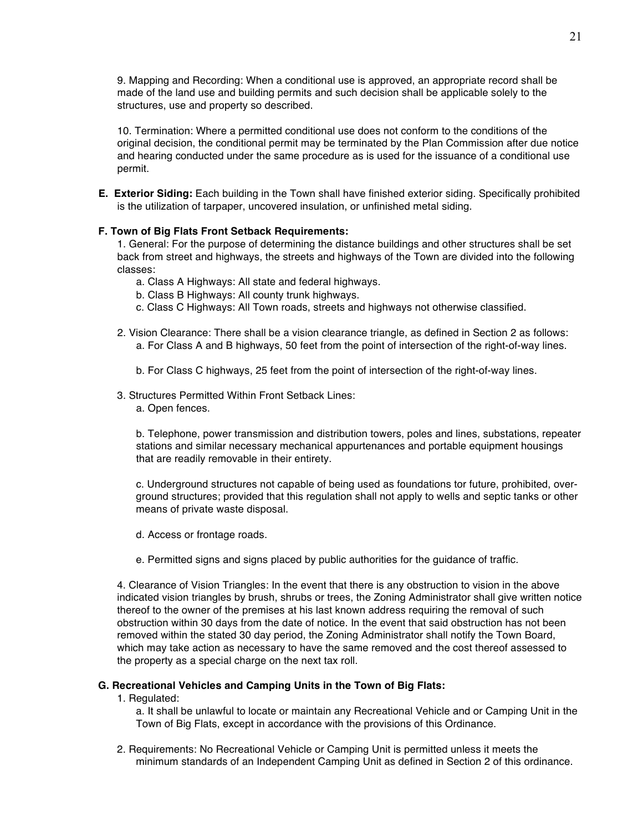9. Mapping and Recording: When a conditional use is approved, an appropriate record shall be made of the land use and building permits and such decision shall be applicable solely to the structures, use and property so described.

10. Termination: Where a permitted conditional use does not conform to the conditions of the original decision, the conditional permit may be terminated by the Plan Commission after due notice and hearing conducted under the same procedure as is used for the issuance of a conditional use permit.

**E. Exterior Siding:** Each building in the Town shall have finished exterior siding. Specifically prohibited is the utilization of tarpaper, uncovered insulation, or unfinished metal siding.

## **F. Town of Big Flats Front Setback Requirements:**

1. General: For the purpose of determining the distance buildings and other structures shall be set back from street and highways, the streets and highways of the Town are divided into the following classes:

- a. Class A Highways: All state and federal highways.
- b. Class B Highways: All county trunk highways.
- c. Class C Highways: All Town roads, streets and highways not otherwise classified.
- 2. Vision Clearance: There shall be a vision clearance triangle, as defined in Section 2 as follows: a. For Class A and B highways, 50 feet from the point of intersection of the right-of-way lines.
	- b. For Class C highways, 25 feet from the point of intersection of the right-of-way lines.
- 3. Structures Permitted Within Front Setback Lines:
	- a. Open fences.

b. Telephone, power transmission and distribution towers, poles and lines, substations, repeater stations and similar necessary mechanical appurtenances and portable equipment housings that are readily removable in their entirety.

c. Underground structures not capable of being used as foundations tor future, prohibited, overground structures; provided that this regulation shall not apply to wells and septic tanks or other means of private waste disposal.

- d. Access or frontage roads.
- e. Permitted signs and signs placed by public authorities for the guidance of traffic.

4. Clearance of Vision Triangles: In the event that there is any obstruction to vision in the above indicated vision triangles by brush, shrubs or trees, the Zoning Administrator shall give written notice thereof to the owner of the premises at his last known address requiring the removal of such obstruction within 30 days from the date of notice. In the event that said obstruction has not been removed within the stated 30 day period, the Zoning Administrator shall notify the Town Board, which may take action as necessary to have the same removed and the cost thereof assessed to the property as a special charge on the next tax roll.

#### **G. Recreational Vehicles and Camping Units in the Town of Big Flats:**

1. Regulated:

a. It shall be unlawful to locate or maintain any Recreational Vehicle and or Camping Unit in the Town of Big Flats, except in accordance with the provisions of this Ordinance.

2. Requirements: No Recreational Vehicle or Camping Unit is permitted unless it meets the minimum standards of an Independent Camping Unit as defined in Section 2 of this ordinance.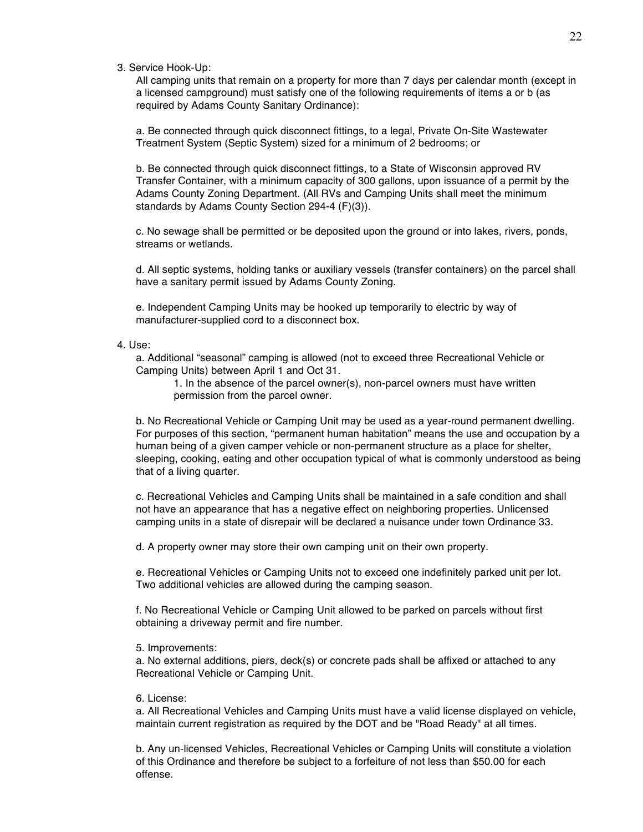3. Service Hook-Up:

All camping units that remain on a property for more than 7 days per calendar month (except in a licensed campground) must satisfy one of the following requirements of items a or b (as required by Adams County Sanitary Ordinance):

a. Be connected through quick disconnect fittings, to a legal, Private On-Site Wastewater Treatment System (Septic System) sized for a minimum of 2 bedrooms; or

b. Be connected through quick disconnect fittings, to a State of Wisconsin approved RV Transfer Container, with a minimum capacity of 300 gallons, upon issuance of a permit by the Adams County Zoning Department. (All RVs and Camping Units shall meet the minimum standards by Adams County Section 294-4 (F)(3)).

c. No sewage shall be permitted or be deposited upon the ground or into lakes, rivers, ponds, streams or wetlands.

d. All septic systems, holding tanks or auxiliary vessels (transfer containers) on the parcel shall have a sanitary permit issued by Adams County Zoning.

e. Independent Camping Units may be hooked up temporarily to electric by way of manufacturer-supplied cord to a disconnect box.

### 4. Use:

a. Additional "seasonal" camping is allowed (not to exceed three Recreational Vehicle or Camping Units) between April 1 and Oct 31.

1. In the absence of the parcel owner(s), non-parcel owners must have written permission from the parcel owner.

b. No Recreational Vehicle or Camping Unit may be used as a year-round permanent dwelling. For purposes of this section, "permanent human habitation" means the use and occupation by a human being of a given camper vehicle or non-permanent structure as a place for shelter, sleeping, cooking, eating and other occupation typical of what is commonly understood as being that of a living quarter.

c. Recreational Vehicles and Camping Units shall be maintained in a safe condition and shall not have an appearance that has a negative effect on neighboring properties. Unlicensed camping units in a state of disrepair will be declared a nuisance under town Ordinance 33.

d. A property owner may store their own camping unit on their own property.

e. Recreational Vehicles or Camping Units not to exceed one indefinitely parked unit per lot. Two additional vehicles are allowed during the camping season.

f. No Recreational Vehicle or Camping Unit allowed to be parked on parcels without first obtaining a driveway permit and fire number.

5. Improvements:

a. No external additions, piers, deck(s) or concrete pads shall be affixed or attached to any Recreational Vehicle or Camping Unit.

6. License:

a. All Recreational Vehicles and Camping Units must have a valid license displayed on vehicle, maintain current registration as required by the DOT and be "Road Ready" at all times.

b. Any un-licensed Vehicles, Recreational Vehicles or Camping Units will constitute a violation of this Ordinance and therefore be subject to a forfeiture of not less than \$50.00 for each offense.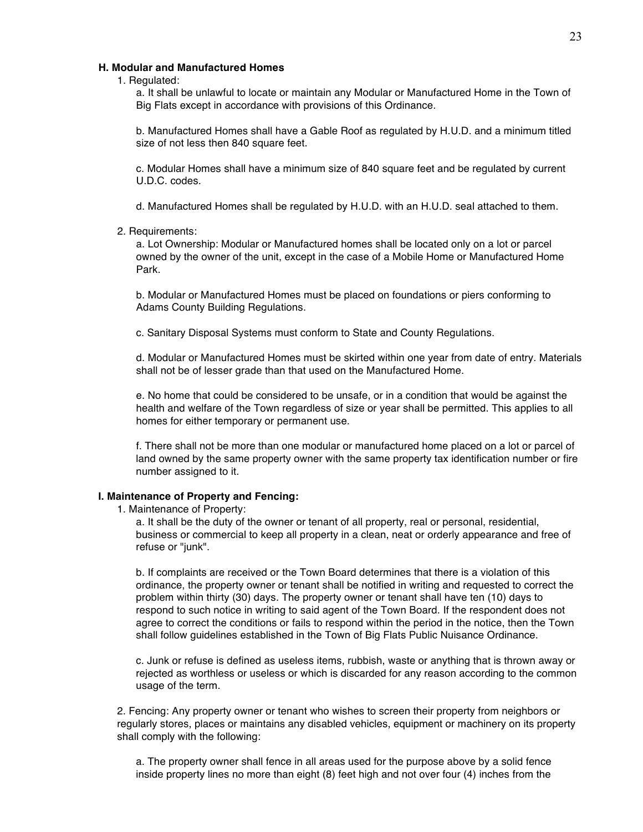## **H. Modular and Manufactured Homes**

1. Regulated:

a. It shall be unlawful to locate or maintain any Modular or Manufactured Home in the Town of Big Flats except in accordance with provisions of this Ordinance.

b. Manufactured Homes shall have a Gable Roof as regulated by H.U.D. and a minimum titled size of not less then 840 square feet.

c. Modular Homes shall have a minimum size of 840 square feet and be regulated by current U.D.C. codes.

d. Manufactured Homes shall be regulated by H.U.D. with an H.U.D. seal attached to them.

#### 2. Requirements:

a. Lot Ownership: Modular or Manufactured homes shall be located only on a lot or parcel owned by the owner of the unit, except in the case of a Mobile Home or Manufactured Home Park.

b. Modular or Manufactured Homes must be placed on foundations or piers conforming to Adams County Building Regulations.

c. Sanitary Disposal Systems must conform to State and County Regulations.

d. Modular or Manufactured Homes must be skirted within one year from date of entry. Materials shall not be of lesser grade than that used on the Manufactured Home.

e. No home that could be considered to be unsafe, or in a condition that would be against the health and welfare of the Town regardless of size or year shall be permitted. This applies to all homes for either temporary or permanent use.

f. There shall not be more than one modular or manufactured home placed on a lot or parcel of land owned by the same property owner with the same property tax identification number or fire number assigned to it.

## **I. Maintenance of Property and Fencing:**

1. Maintenance of Property:

a. It shall be the duty of the owner or tenant of all property, real or personal, residential, business or commercial to keep all property in a clean, neat or orderly appearance and free of refuse or "junk".

b. If complaints are received or the Town Board determines that there is a violation of this ordinance, the property owner or tenant shall be notified in writing and requested to correct the problem within thirty (30) days. The property owner or tenant shall have ten (10) days to respond to such notice in writing to said agent of the Town Board. If the respondent does not agree to correct the conditions or fails to respond within the period in the notice, then the Town shall follow guidelines established in the Town of Big Flats Public Nuisance Ordinance.

c. Junk or refuse is defined as useless items, rubbish, waste or anything that is thrown away or rejected as worthless or useless or which is discarded for any reason according to the common usage of the term.

2. Fencing: Any property owner or tenant who wishes to screen their property from neighbors or regularly stores, places or maintains any disabled vehicles, equipment or machinery on its property shall comply with the following:

a. The property owner shall fence in all areas used for the purpose above by a solid fence inside property lines no more than eight (8) feet high and not over four (4) inches from the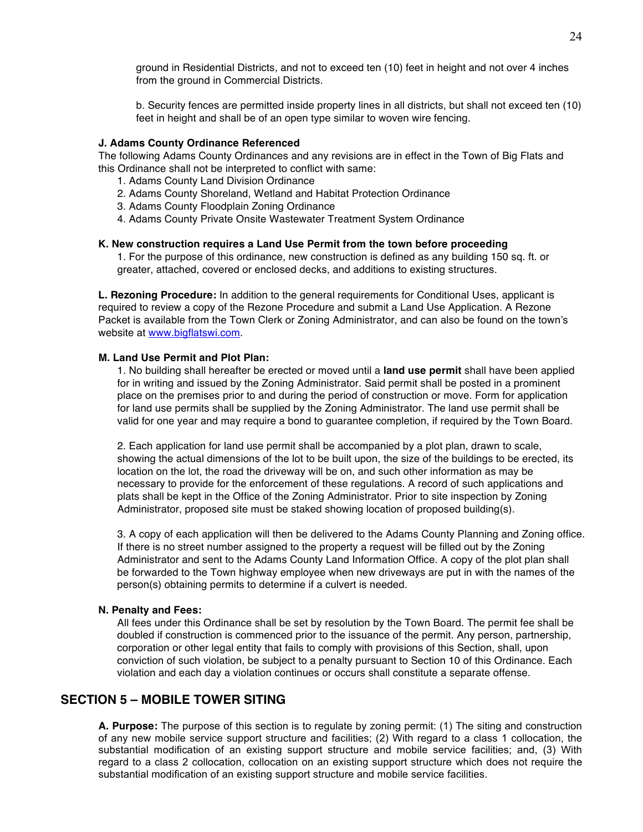ground in Residential Districts, and not to exceed ten (10) feet in height and not over 4 inches from the ground in Commercial Districts.

b. Security fences are permitted inside property lines in all districts, but shall not exceed ten (10) feet in height and shall be of an open type similar to woven wire fencing.

#### **J. Adams County Ordinance Referenced**

The following Adams County Ordinances and any revisions are in effect in the Town of Big Flats and this Ordinance shall not be interpreted to conflict with same:

- 1. Adams County Land Division Ordinance
- 2. Adams County Shoreland, Wetland and Habitat Protection Ordinance
- 3. Adams County Floodplain Zoning Ordinance
- 4. Adams County Private Onsite Wastewater Treatment System Ordinance

## **K. New construction requires a Land Use Permit from the town before proceeding**

1. For the purpose of this ordinance, new construction is defined as any building 150 sq. ft. or greater, attached, covered or enclosed decks, and additions to existing structures.

**L. Rezoning Procedure:** In addition to the general requirements for Conditional Uses, applicant is required to review a copy of the Rezone Procedure and submit a Land Use Application. A Rezone Packet is available from the Town Clerk or Zoning Administrator, and can also be found on the town's website at www.bigflatswi.com.

## **M. Land Use Permit and Plot Plan:**

1. No building shall hereafter be erected or moved until a **land use permit** shall have been applied for in writing and issued by the Zoning Administrator. Said permit shall be posted in a prominent place on the premises prior to and during the period of construction or move. Form for application for land use permits shall be supplied by the Zoning Administrator. The land use permit shall be valid for one year and may require a bond to guarantee completion, if required by the Town Board.

2. Each application for land use permit shall be accompanied by a plot plan, drawn to scale, showing the actual dimensions of the lot to be built upon, the size of the buildings to be erected, its location on the lot, the road the driveway will be on, and such other information as may be necessary to provide for the enforcement of these regulations. A record of such applications and plats shall be kept in the Office of the Zoning Administrator. Prior to site inspection by Zoning Administrator, proposed site must be staked showing location of proposed building(s).

3. A copy of each application will then be delivered to the Adams County Planning and Zoning office. If there is no street number assigned to the property a request will be filled out by the Zoning Administrator and sent to the Adams County Land Information Office. A copy of the plot plan shall be forwarded to the Town highway employee when new driveways are put in with the names of the person(s) obtaining permits to determine if a culvert is needed.

#### **N. Penalty and Fees:**

All fees under this Ordinance shall be set by resolution by the Town Board. The permit fee shall be doubled if construction is commenced prior to the issuance of the permit. Any person, partnership, corporation or other legal entity that fails to comply with provisions of this Section, shall, upon conviction of such violation, be subject to a penalty pursuant to Section 10 of this Ordinance. Each violation and each day a violation continues or occurs shall constitute a separate offense.

## **SECTION 5 – MOBILE TOWER SITING**

**A. Purpose:** The purpose of this section is to regulate by zoning permit: (1) The siting and construction of any new mobile service support structure and facilities; (2) With regard to a class 1 collocation, the substantial modification of an existing support structure and mobile service facilities; and, (3) With regard to a class 2 collocation, collocation on an existing support structure which does not require the substantial modification of an existing support structure and mobile service facilities.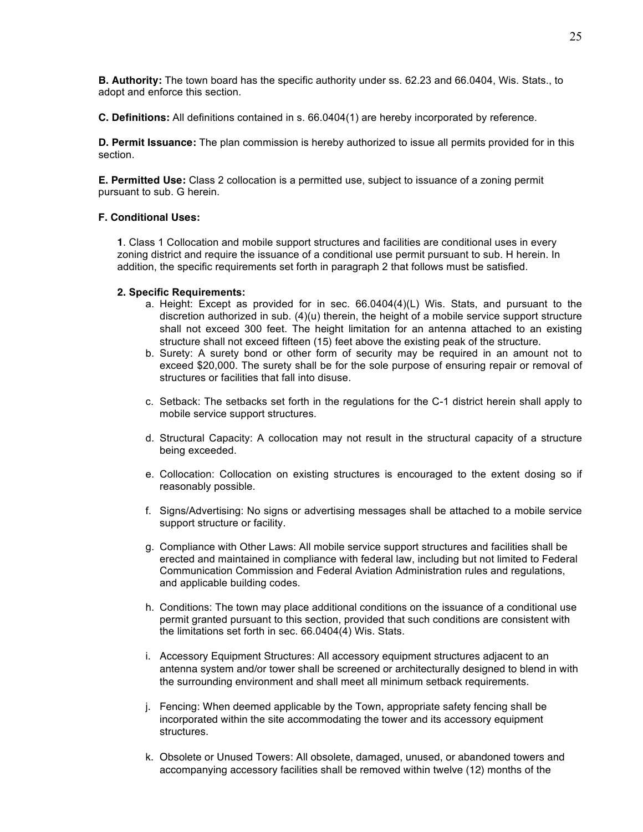**B. Authority:** The town board has the specific authority under ss. 62.23 and 66.0404, Wis. Stats., to adopt and enforce this section.

**C. Definitions:** All definitions contained in s. 66.0404(1) are hereby incorporated by reference.

**D. Permit Issuance:** The plan commission is hereby authorized to issue all permits provided for in this section.

**E. Permitted Use:** Class 2 collocation is a permitted use, subject to issuance of a zoning permit pursuant to sub. G herein.

#### **F. Conditional Uses:**

**1**. Class 1 Collocation and mobile support structures and facilities are conditional uses in every zoning district and require the issuance of a conditional use permit pursuant to sub. H herein. In addition, the specific requirements set forth in paragraph 2 that follows must be satisfied.

#### **2. Specific Requirements:**

- a. Height: Except as provided for in sec. 66.0404(4)(L) Wis. Stats, and pursuant to the discretion authorized in sub. (4)(u) therein, the height of a mobile service support structure shall not exceed 300 feet. The height limitation for an antenna attached to an existing structure shall not exceed fifteen (15) feet above the existing peak of the structure.
- b. Surety: A surety bond or other form of security may be required in an amount not to exceed \$20,000. The surety shall be for the sole purpose of ensuring repair or removal of structures or facilities that fall into disuse.
- c. Setback: The setbacks set forth in the regulations for the C-1 district herein shall apply to mobile service support structures.
- d. Structural Capacity: A collocation may not result in the structural capacity of a structure being exceeded.
- e. Collocation: Collocation on existing structures is encouraged to the extent dosing so if reasonably possible.
- f. Signs/Advertising: No signs or advertising messages shall be attached to a mobile service support structure or facility.
- g. Compliance with Other Laws: All mobile service support structures and facilities shall be erected and maintained in compliance with federal law, including but not limited to Federal Communication Commission and Federal Aviation Administration rules and regulations, and applicable building codes.
- h. Conditions: The town may place additional conditions on the issuance of a conditional use permit granted pursuant to this section, provided that such conditions are consistent with the limitations set forth in sec. 66.0404(4) Wis. Stats.
- i. Accessory Equipment Structures: All accessory equipment structures adjacent to an antenna system and/or tower shall be screened or architecturally designed to blend in with the surrounding environment and shall meet all minimum setback requirements.
- j. Fencing: When deemed applicable by the Town, appropriate safety fencing shall be incorporated within the site accommodating the tower and its accessory equipment structures.
- k. Obsolete or Unused Towers: All obsolete, damaged, unused, or abandoned towers and accompanying accessory facilities shall be removed within twelve (12) months of the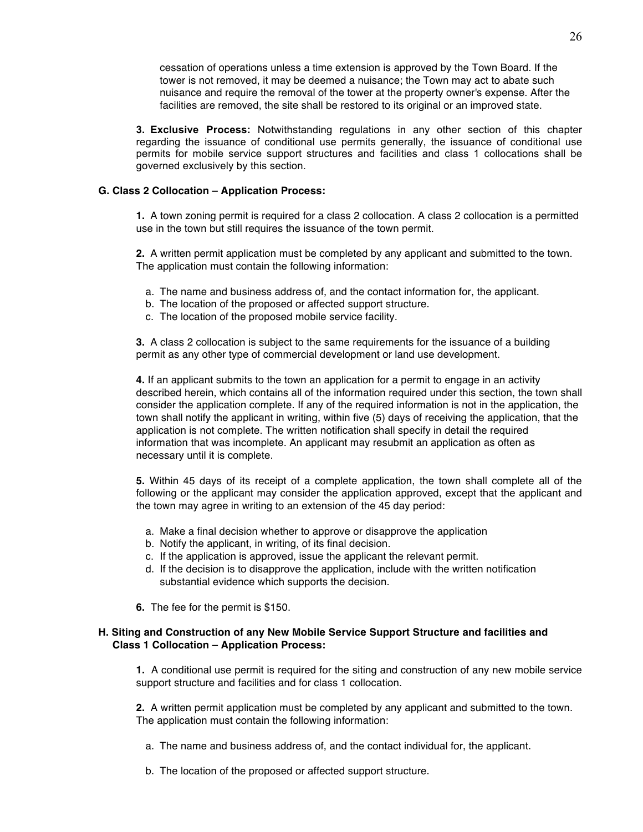cessation of operations unless a time extension is approved by the Town Board. If the tower is not removed, it may be deemed a nuisance; the Town may act to abate such nuisance and require the removal of the tower at the property owner's expense. After the facilities are removed, the site shall be restored to its original or an improved state.

**3. Exclusive Process:** Notwithstanding regulations in any other section of this chapter regarding the issuance of conditional use permits generally, the issuance of conditional use permits for mobile service support structures and facilities and class 1 collocations shall be governed exclusively by this section.

## **G. Class 2 Collocation – Application Process:**

**1.** A town zoning permit is required for a class 2 collocation. A class 2 collocation is a permitted use in the town but still requires the issuance of the town permit.

**2.** A written permit application must be completed by any applicant and submitted to the town. The application must contain the following information:

- a. The name and business address of, and the contact information for, the applicant.
- b. The location of the proposed or affected support structure.
- c. The location of the proposed mobile service facility.

**3.** A class 2 collocation is subject to the same requirements for the issuance of a building permit as any other type of commercial development or land use development.

**4.** If an applicant submits to the town an application for a permit to engage in an activity described herein, which contains all of the information required under this section, the town shall consider the application complete. If any of the required information is not in the application, the town shall notify the applicant in writing, within five (5) days of receiving the application, that the application is not complete. The written notification shall specify in detail the required information that was incomplete. An applicant may resubmit an application as often as necessary until it is complete.

**5.** Within 45 days of its receipt of a complete application, the town shall complete all of the following or the applicant may consider the application approved, except that the applicant and the town may agree in writing to an extension of the 45 day period:

- a. Make a final decision whether to approve or disapprove the application
- b. Notify the applicant, in writing, of its final decision.
- c. If the application is approved, issue the applicant the relevant permit.
- d. If the decision is to disapprove the application, include with the written notification substantial evidence which supports the decision.
- **6.** The fee for the permit is \$150.

## **H. Siting and Construction of any New Mobile Service Support Structure and facilities and Class 1 Collocation – Application Process:**

**1.** A conditional use permit is required for the siting and construction of any new mobile service support structure and facilities and for class 1 collocation.

**2.** A written permit application must be completed by any applicant and submitted to the town. The application must contain the following information:

- a. The name and business address of, and the contact individual for, the applicant.
- b. The location of the proposed or affected support structure.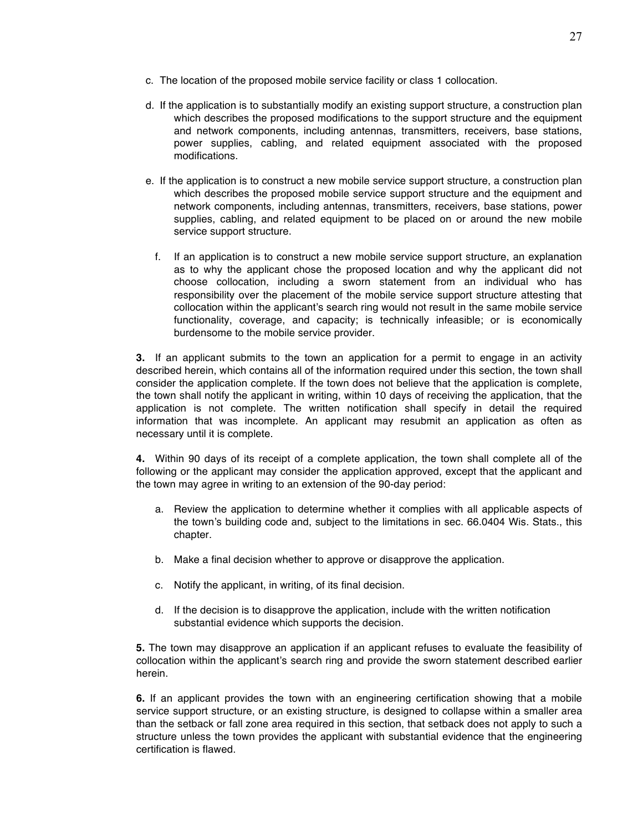- c. The location of the proposed mobile service facility or class 1 collocation.
- d. If the application is to substantially modify an existing support structure, a construction plan which describes the proposed modifications to the support structure and the equipment and network components, including antennas, transmitters, receivers, base stations, power supplies, cabling, and related equipment associated with the proposed modifications.
- e. If the application is to construct a new mobile service support structure, a construction plan which describes the proposed mobile service support structure and the equipment and network components, including antennas, transmitters, receivers, base stations, power supplies, cabling, and related equipment to be placed on or around the new mobile service support structure.
	- f. If an application is to construct a new mobile service support structure, an explanation as to why the applicant chose the proposed location and why the applicant did not choose collocation, including a sworn statement from an individual who has responsibility over the placement of the mobile service support structure attesting that collocation within the applicant's search ring would not result in the same mobile service functionality, coverage, and capacity; is technically infeasible; or is economically burdensome to the mobile service provider.

**3.** If an applicant submits to the town an application for a permit to engage in an activity described herein, which contains all of the information required under this section, the town shall consider the application complete. If the town does not believe that the application is complete, the town shall notify the applicant in writing, within 10 days of receiving the application, that the application is not complete. The written notification shall specify in detail the required information that was incomplete. An applicant may resubmit an application as often as necessary until it is complete.

**4.** Within 90 days of its receipt of a complete application, the town shall complete all of the following or the applicant may consider the application approved, except that the applicant and the town may agree in writing to an extension of the 90-day period:

- a. Review the application to determine whether it complies with all applicable aspects of the town's building code and, subject to the limitations in sec. 66.0404 Wis. Stats., this chapter.
- b. Make a final decision whether to approve or disapprove the application.
- c. Notify the applicant, in writing, of its final decision.
- d. If the decision is to disapprove the application, include with the written notification substantial evidence which supports the decision.

**5.** The town may disapprove an application if an applicant refuses to evaluate the feasibility of collocation within the applicant's search ring and provide the sworn statement described earlier herein.

**6.** If an applicant provides the town with an engineering certification showing that a mobile service support structure, or an existing structure, is designed to collapse within a smaller area than the setback or fall zone area required in this section, that setback does not apply to such a structure unless the town provides the applicant with substantial evidence that the engineering certification is flawed.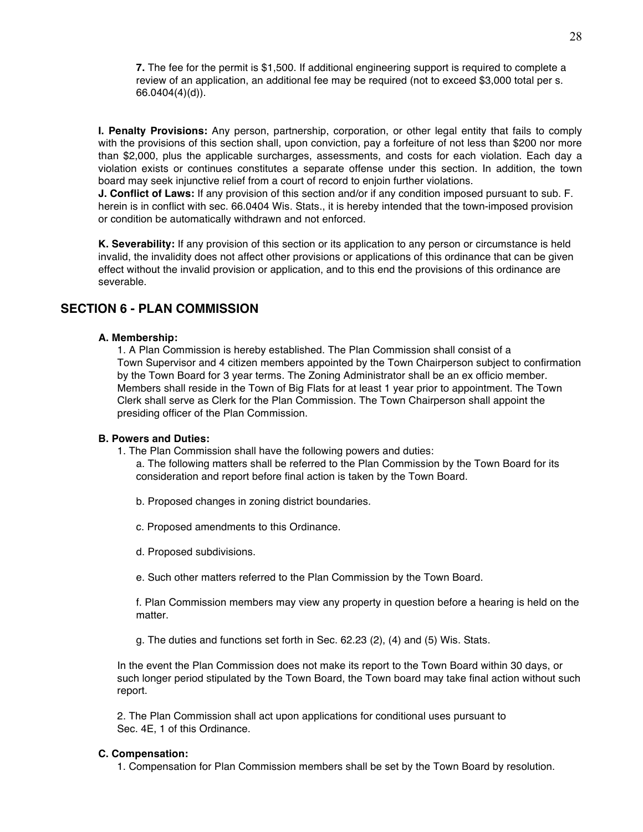**7.** The fee for the permit is \$1,500. If additional engineering support is required to complete a review of an application, an additional fee may be required (not to exceed \$3,000 total per s. 66.0404(4)(d)).

**I. Penalty Provisions:** Any person, partnership, corporation, or other legal entity that fails to comply with the provisions of this section shall, upon conviction, pay a forfeiture of not less than \$200 nor more than \$2,000, plus the applicable surcharges, assessments, and costs for each violation. Each day a violation exists or continues constitutes a separate offense under this section. In addition, the town board may seek injunctive relief from a court of record to enjoin further violations.

**J. Conflict of Laws:** If any provision of this section and/or if any condition imposed pursuant to sub. F. herein is in conflict with sec. 66.0404 Wis. Stats., it is hereby intended that the town-imposed provision or condition be automatically withdrawn and not enforced.

**K. Severability:** If any provision of this section or its application to any person or circumstance is held invalid, the invalidity does not affect other provisions or applications of this ordinance that can be given effect without the invalid provision or application, and to this end the provisions of this ordinance are severable.

## **SECTION 6 - PLAN COMMISSION**

## **A. Membership:**

1. A Plan Commission is hereby established. The Plan Commission shall consist of a Town Supervisor and 4 citizen members appointed by the Town Chairperson subject to confirmation by the Town Board for 3 year terms. The Zoning Administrator shall be an ex officio member. Members shall reside in the Town of Big Flats for at least 1 year prior to appointment. The Town Clerk shall serve as Clerk for the Plan Commission. The Town Chairperson shall appoint the presiding officer of the Plan Commission.

## **B. Powers and Duties:**

1. The Plan Commission shall have the following powers and duties:

a. The following matters shall be referred to the Plan Commission by the Town Board for its consideration and report before final action is taken by the Town Board.

- b. Proposed changes in zoning district boundaries.
- c. Proposed amendments to this Ordinance.
- d. Proposed subdivisions.
- e. Such other matters referred to the Plan Commission by the Town Board.

f. Plan Commission members may view any property in question before a hearing is held on the matter.

g. The duties and functions set forth in Sec. 62.23 (2), (4) and (5) Wis. Stats.

In the event the Plan Commission does not make its report to the Town Board within 30 days, or such longer period stipulated by the Town Board, the Town board may take final action without such report.

2. The Plan Commission shall act upon applications for conditional uses pursuant to Sec. 4E, 1 of this Ordinance.

## **C. Compensation:**

1. Compensation for Plan Commission members shall be set by the Town Board by resolution.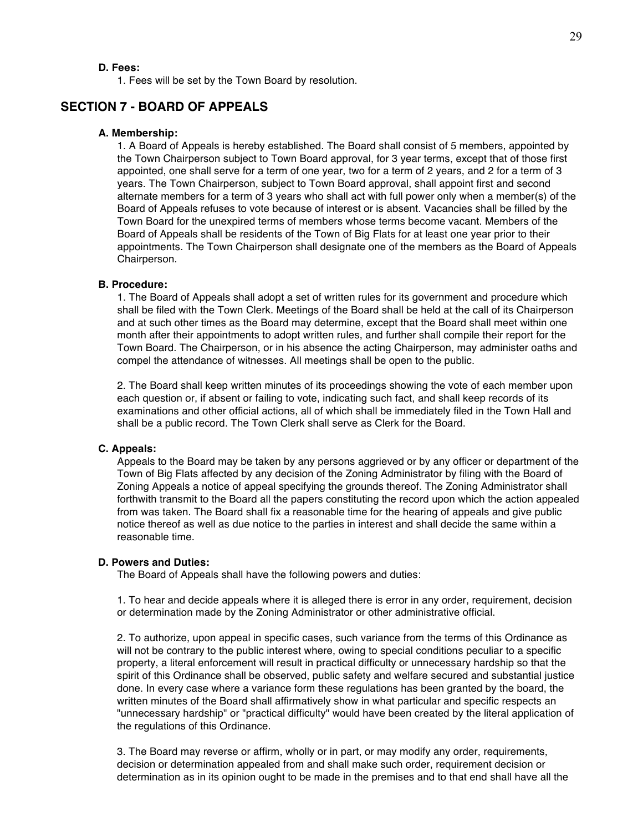## **D. Fees:**

1. Fees will be set by the Town Board by resolution.

## **SECTION 7 - BOARD OF APPEALS**

## **A. Membership:**

1. A Board of Appeals is hereby established. The Board shall consist of 5 members, appointed by the Town Chairperson subject to Town Board approval, for 3 year terms, except that of those first appointed, one shall serve for a term of one year, two for a term of 2 years, and 2 for a term of 3 years. The Town Chairperson, subject to Town Board approval, shall appoint first and second alternate members for a term of 3 years who shall act with full power only when a member(s) of the Board of Appeals refuses to vote because of interest or is absent. Vacancies shall be filled by the Town Board for the unexpired terms of members whose terms become vacant. Members of the Board of Appeals shall be residents of the Town of Big Flats for at least one year prior to their appointments. The Town Chairperson shall designate one of the members as the Board of Appeals Chairperson.

#### **B. Procedure:**

1. The Board of Appeals shall adopt a set of written rules for its government and procedure which shall be filed with the Town Clerk. Meetings of the Board shall be held at the call of its Chairperson and at such other times as the Board may determine, except that the Board shall meet within one month after their appointments to adopt written rules, and further shall compile their report for the Town Board. The Chairperson, or in his absence the acting Chairperson, may administer oaths and compel the attendance of witnesses. All meetings shall be open to the public.

2. The Board shall keep written minutes of its proceedings showing the vote of each member upon each question or, if absent or failing to vote, indicating such fact, and shall keep records of its examinations and other official actions, all of which shall be immediately filed in the Town Hall and shall be a public record. The Town Clerk shall serve as Clerk for the Board.

#### **C. Appeals:**

Appeals to the Board may be taken by any persons aggrieved or by any officer or department of the Town of Big Flats affected by any decision of the Zoning Administrator by filing with the Board of Zoning Appeals a notice of appeal specifying the grounds thereof. The Zoning Administrator shall forthwith transmit to the Board all the papers constituting the record upon which the action appealed from was taken. The Board shall fix a reasonable time for the hearing of appeals and give public notice thereof as well as due notice to the parties in interest and shall decide the same within a reasonable time.

## **D. Powers and Duties:**

The Board of Appeals shall have the following powers and duties:

1. To hear and decide appeals where it is alleged there is error in any order, requirement, decision or determination made by the Zoning Administrator or other administrative official.

2. To authorize, upon appeal in specific cases, such variance from the terms of this Ordinance as will not be contrary to the public interest where, owing to special conditions peculiar to a specific property, a literal enforcement will result in practical difficulty or unnecessary hardship so that the spirit of this Ordinance shall be observed, public safety and welfare secured and substantial justice done. In every case where a variance form these regulations has been granted by the board, the written minutes of the Board shall affirmatively show in what particular and specific respects an "unnecessary hardship" or "practical difficulty" would have been created by the literal application of the regulations of this Ordinance.

3. The Board may reverse or affirm, wholly or in part, or may modify any order, requirements, decision or determination appealed from and shall make such order, requirement decision or determination as in its opinion ought to be made in the premises and to that end shall have all the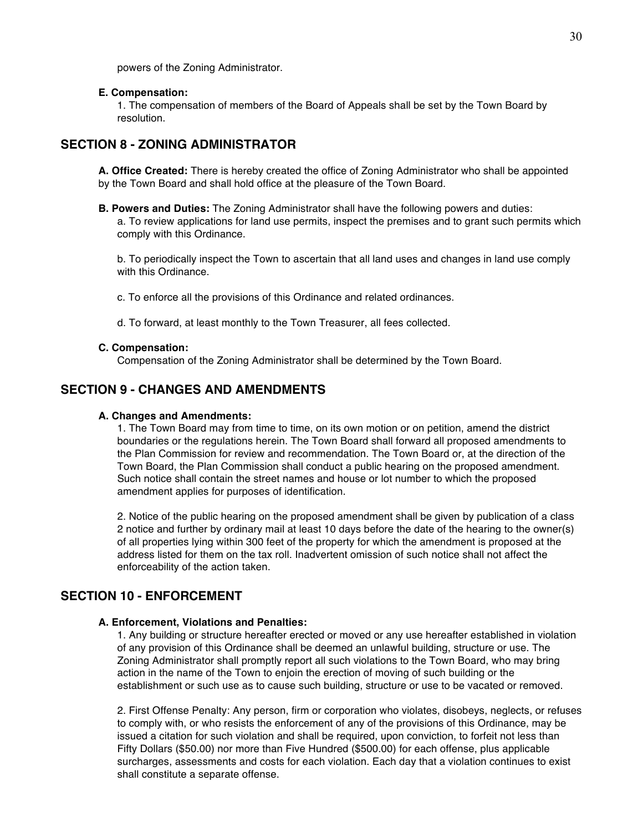powers of the Zoning Administrator.

## **E. Compensation:**

1. The compensation of members of the Board of Appeals shall be set by the Town Board by resolution.

## **SECTION 8 - ZONING ADMINISTRATOR**

**A. Office Created:** There is hereby created the office of Zoning Administrator who shall be appointed by the Town Board and shall hold office at the pleasure of the Town Board.

**B. Powers and Duties:** The Zoning Administrator shall have the following powers and duties: a. To review applications for land use permits, inspect the premises and to grant such permits which comply with this Ordinance.

b. To periodically inspect the Town to ascertain that all land uses and changes in land use comply with this Ordinance.

c. To enforce all the provisions of this Ordinance and related ordinances.

d. To forward, at least monthly to the Town Treasurer, all fees collected.

## **C. Compensation:**

Compensation of the Zoning Administrator shall be determined by the Town Board.

## **SECTION 9 - CHANGES AND AMENDMENTS**

## **A. Changes and Amendments:**

1. The Town Board may from time to time, on its own motion or on petition, amend the district boundaries or the regulations herein. The Town Board shall forward all proposed amendments to the Plan Commission for review and recommendation. The Town Board or, at the direction of the Town Board, the Plan Commission shall conduct a public hearing on the proposed amendment. Such notice shall contain the street names and house or lot number to which the proposed amendment applies for purposes of identification.

2. Notice of the public hearing on the proposed amendment shall be given by publication of a class 2 notice and further by ordinary mail at least 10 days before the date of the hearing to the owner(s) of all properties lying within 300 feet of the property for which the amendment is proposed at the address listed for them on the tax roll. Inadvertent omission of such notice shall not affect the enforceability of the action taken.

## **SECTION 10 - ENFORCEMENT**

## **A. Enforcement, Violations and Penalties:**

1. Any building or structure hereafter erected or moved or any use hereafter established in violation of any provision of this Ordinance shall be deemed an unlawful building, structure or use. The Zoning Administrator shall promptly report all such violations to the Town Board, who may bring action in the name of the Town to enjoin the erection of moving of such building or the establishment or such use as to cause such building, structure or use to be vacated or removed.

2. First Offense Penalty: Any person, firm or corporation who violates, disobeys, neglects, or refuses to comply with, or who resists the enforcement of any of the provisions of this Ordinance, may be issued a citation for such violation and shall be required, upon conviction, to forfeit not less than Fifty Dollars (\$50.00) nor more than Five Hundred (\$500.00) for each offense, plus applicable surcharges, assessments and costs for each violation. Each day that a violation continues to exist shall constitute a separate offense.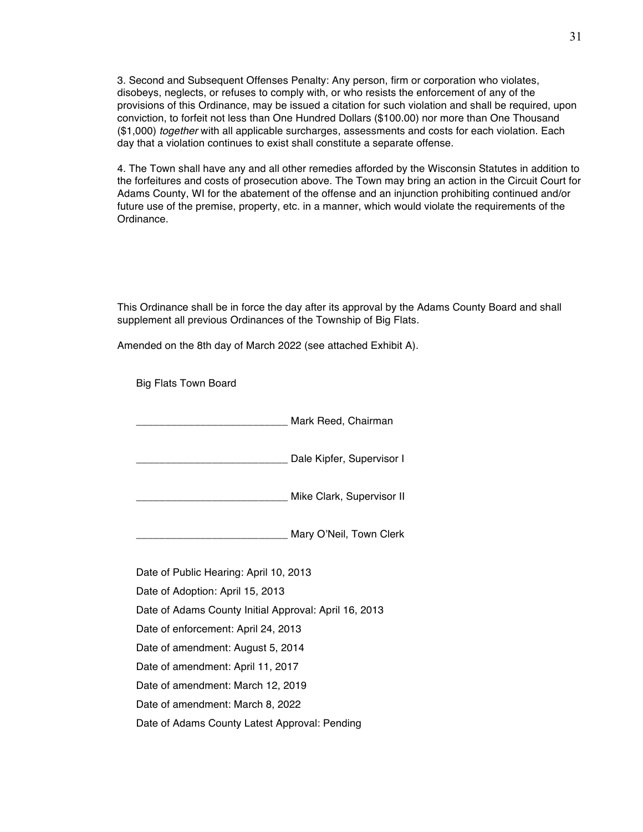3. Second and Subsequent Offenses Penalty: Any person, firm or corporation who violates, disobeys, neglects, or refuses to comply with, or who resists the enforcement of any of the provisions of this Ordinance, may be issued a citation for such violation and shall be required, upon conviction, to forfeit not less than One Hundred Dollars (\$100.00) nor more than One Thousand (\$1,000) *together* with all applicable surcharges, assessments and costs for each violation. Each day that a violation continues to exist shall constitute a separate offense.

4. The Town shall have any and all other remedies afforded by the Wisconsin Statutes in addition to the forfeitures and costs of prosecution above. The Town may bring an action in the Circuit Court for Adams County, WI for the abatement of the offense and an injunction prohibiting continued and/or future use of the premise, property, etc. in a manner, which would violate the requirements of the Ordinance.

This Ordinance shall be in force the day after its approval by the Adams County Board and shall supplement all previous Ordinances of the Township of Big Flats.

Amended on the 8th day of March 2022 (see attached Exhibit A).

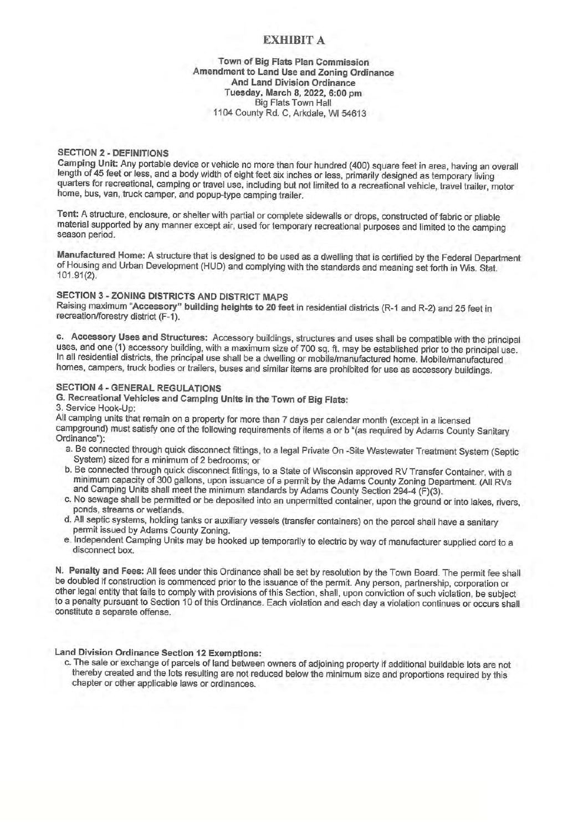## **EXHIBIT A**

#### Town of Big Flats Plan Commission Amendment to Land Use and Zoning Ordinance And Land Division Ordinance Tuesday, March 8, 2022, 6:00 pm **Big Flats Town Hall** 1104 County Rd. C, Arkdale, WI 54613

#### **SECTION 2 - DEFINITIONS**

Camping Unit: Any portable device or vehicle no more than four hundred (400) square feet in area, having an overall length of 45 feet or less, and a body width of eight feet six inches or less, primarily designed as temporary living quarters for recreational, camping or travel use, including but not limited to a recreational vehicle, travel trailer, motor home, bus, van, truck camper, and popup-type camping trailer.

Tent: A structure, enclosure, or shelter with partial or complete sidewalls or drops, constructed of fabric or pliable material supported by any manner except air, used for temporary recreational purposes and limited to the camping season period.

Manufactured Home: A structure that is designed to be used as a dwelling that is certified by the Federal Department of Housing and Urban Development (HUD) and complying with the standards and meaning set forth in Wis. Stat. 101.91(2).

## SECTION 3 - ZONING DISTRICTS AND DISTRICT MAPS

Raising maximum "Accessory" building heights to 20 feet in residential districts (R-1 and R-2) and 25 feet in recreation/forestry district (F-1).

c. Accessory Uses and Structures: Accessory buildings, structures and uses shall be compatible with the principal uses, and one (1) accessory building, with a maximum size of 700 sq. ft. may be established prior to the principal use. In all residential districts, the principal use shall be a dwelling or mobile/manufactured home. Mobile/manufactured homes, campers, truck bodies or trailers, buses and similar items are prohibited for use as accessory buildings.

#### **SECTION 4 - GENERAL REGULATIONS**

G. Recreational Vehicles and Camping Units in the Town of Big Flats:

## 3. Service Hook-Up:

All camping units that remain on a property for more than 7 days per calendar month (except in a licensed campground) must satisfy one of the following requirements of items a or b "(as required by Adams County Sanitary Ordinance"):

- a. Be connected through quick disconnect fittings, to a legal Private On -Site Wastewater Treatment System (Septic System) sized for a minimum of 2 bedrooms; or
- b. Be connected through quick disconnect fittings, to a State of Wisconsin approved RV Transfer Container, with a minimum capacity of 300 gallons, upon issuance of a permit by the Adams County Zoning Department. (All RVs and Camping Units shall meet the minimum standards by Adams County Section 294-4 (F)(3).
- c. No sewage shall be permitted or be deposited into an unpermitted container, upon the ground or into lakes, rivers, ponds, streams or wetlands.
- d. All septic systems, holding tanks or auxiliary vessels (transfer containers) on the parcel shall have a sanitary permit issued by Adams County Zoning.
- e. Independent Camping Units may be hooked up temporarily to electric by way of manufacturer supplied cord to a disconnect box.

N. Penalty and Fees: All fees under this Ordinance shall be set by resolution by the Town Board. The permit fee shall be doubled if construction is commenced prior to the issuance of the permit. Any person, partnership, corporation or other legal entity that fails to comply with provisions of this Section, shall, upon conviction of such violation, be subject to a penalty pursuant to Section 10 of this Ordinance. Each violation and each day a violation continues or occurs shall constitute a separate offense.

Land Division Ordinance Section 12 Exemptions:

c. The sale or exchange of parcels of land between owners of adjoining property if additional buildable lots are not thereby created and the lots resulting are not reduced below the minimum size and proportions required by this chapter or other applicable laws or ordinances.